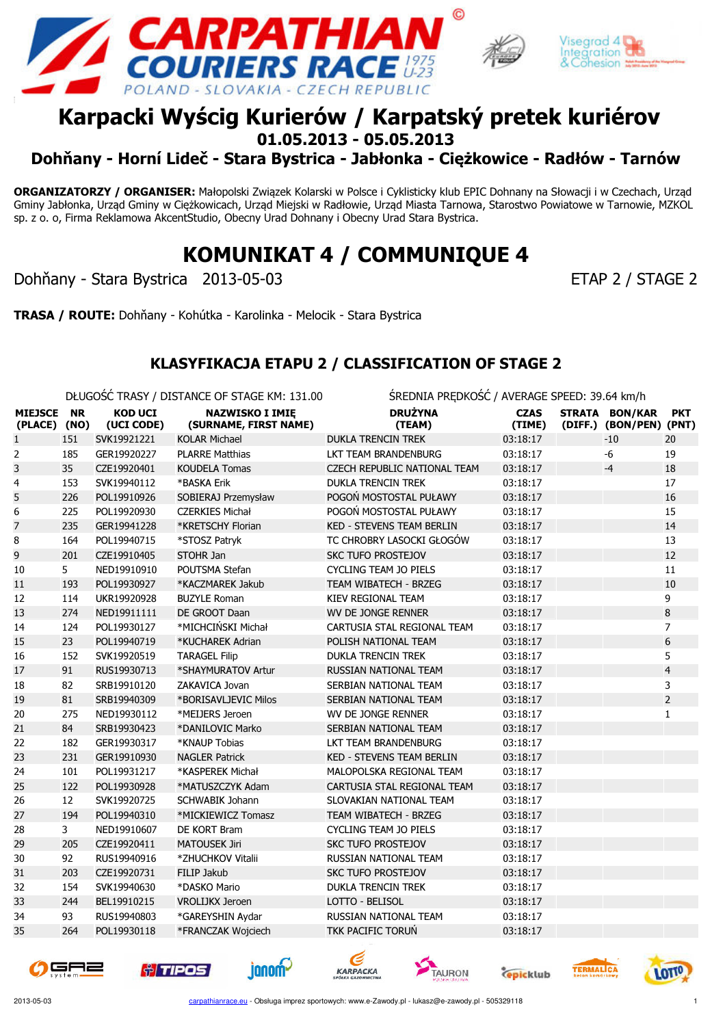





## Karpacki Wyścig Kurierów / Karpatský pretek kuriérov 01.05.2013 - 05.05.2013

Dohňany - Horní Lideč - Stara Bystrica - Jabłonka - Ciężkowice - Radłów - Tarnów

ORGANIZATORZY / ORGANISER: Małopolski Związek Kolarski w Polsce i Cyklisticky klub EPIC Dohnany na Słowacji i w Czechach, Urząd Gminy Jabłonka, Urząd Gminy w Ciężkowicach, Urząd Miejski w Radłowie, Urząd Miasta Tarnowa, Starostwo Powiatowe w Tarnowie, MZKOL sp. z o. o, Firma Reklamowa AkcentStudio, Obecny Urad Dohnany i Obecny Urad Stara Bystrica.

KOMUNIKAT 4 / COMMUNIQUE 4

Dohňany - Stara Bystrica 2013-05-03 ETAP 2 / STAGE 2

TRASA / ROUTE: Dohňany - Kohútka - Karolinka - Melocik - Stara Bystrica

#### KLASYFIKACJA ETAPU 2 / CLASSIFICATION OF STAGE 2

DŁUGOŚĆ TRASY / DISTANCE OF STAGE KM: 131.00 ŚREDNIA PRĘDKOŚĆ / AVERAGE SPEED: 39.64 km/h

| <b>MIEJSCE</b><br>(PLACE) (NO) | <b>NR</b> | <b>KOD UCI</b><br>(UCI CODE) | <b>NAZWISKO I IMIĘ</b><br>(SURNAME, FIRST NAME) | <b>DRUŻYNA</b><br>(TEAM)            | <b>CZAS</b><br>(TIME) | STRATA BON/KAR<br>(DIFF.) (BON/PEN) (PNT) | <b>PKT</b>     |
|--------------------------------|-----------|------------------------------|-------------------------------------------------|-------------------------------------|-----------------------|-------------------------------------------|----------------|
| $\mathbf{1}$                   | 151       | SVK19921221                  | <b>KOLAR Michael</b>                            | <b>DUKLA TRENCIN TREK</b>           | 03:18:17              | $-10$                                     | 20             |
| 2                              | 185       | GER19920227                  | <b>PLARRE Matthias</b>                          | LKT TEAM BRANDENBURG                | 03:18:17              | $-6$                                      | 19             |
| 3                              | 35        | CZE19920401                  | <b>KOUDELA Tomas</b>                            | <b>CZECH REPUBLIC NATIONAL TEAM</b> | 03:18:17              | $-4$                                      | 18             |
| 4                              | 153       | SVK19940112                  | *BASKA Erik                                     | <b>DUKLA TRENCIN TREK</b>           | 03:18:17              |                                           | 17             |
| 5                              | 226       | POL19910926                  | SOBIERAJ Przemysław                             | POGOŃ MOSTOSTAL PUŁAWY              | 03:18:17              |                                           | 16             |
| 6                              | 225       | POL19920930                  | <b>CZERKIES Michał</b>                          | POGOŃ MOSTOSTAL PUŁAWY              | 03:18:17              |                                           | 15             |
| 7                              | 235       | GER19941228                  | *KRETSCHY Florian                               | <b>KED - STEVENS TEAM BERLIN</b>    | 03:18:17              |                                           | 14             |
| 8                              | 164       | POL19940715                  | *STOSZ Patryk                                   | TC CHROBRY LASOCKI GŁOGÓW           | 03:18:17              |                                           | 13             |
| 9                              | 201       | CZE19910405                  | STOHR Jan                                       | <b>SKC TUFO PROSTEJOV</b>           | 03:18:17              |                                           | 12             |
| 10                             | 5         | NED19910910                  | POUTSMA Stefan                                  | <b>CYCLING TEAM JO PIELS</b>        | 03:18:17              |                                           | 11             |
| 11                             | 193       | POL19930927                  | *KACZMAREK Jakub                                | <b>TEAM WIBATECH - BRZEG</b>        | 03:18:17              |                                           | 10             |
| 12                             | 114       | UKR19920928                  | <b>BUZYLE Roman</b>                             | KIEV REGIONAL TEAM                  | 03:18:17              |                                           | 9              |
| 13                             | 274       | NED19911111                  | DE GROOT Daan                                   | WV DE JONGE RENNER                  | 03:18:17              |                                           | 8              |
| 14                             | 124       | POL19930127                  | *MICHCIŃSKI Michał                              | CARTUSIA STAL REGIONAL TEAM         | 03:18:17              |                                           | $\overline{7}$ |
| 15                             | 23        | POL19940719                  | *KUCHAREK Adrian                                | POLISH NATIONAL TEAM                | 03:18:17              |                                           | 6              |
| 16                             | 152       | SVK19920519                  | <b>TARAGEL Filip</b>                            | <b>DUKLA TRENCIN TREK</b>           | 03:18:17              |                                           | 5              |
| 17                             | 91        | RUS19930713                  | *SHAYMURATOV Artur                              | RUSSIAN NATIONAL TEAM               | 03:18:17              |                                           | $\overline{4}$ |
| 18                             | 82        | SRB19910120                  | ZAKAVICA Jovan                                  | SERBIAN NATIONAL TEAM               | 03:18:17              |                                           | 3              |
| 19                             | 81        | SRB19940309                  | *BORISAVLJEVIC Milos                            | SERBIAN NATIONAL TEAM               | 03:18:17              |                                           | $\overline{2}$ |
| 20                             | 275       | NED19930112                  | *MEIJERS Jeroen                                 | WV DE JONGE RENNER                  | 03:18:17              |                                           | 1              |
| 21                             | 84        | SRB19930423                  | *DANILOVIC Marko                                | SERBIAN NATIONAL TEAM               | 03:18:17              |                                           |                |
| 22                             | 182       | GER19930317                  | *KNAUP Tobias                                   | LKT TEAM BRANDENBURG                | 03:18:17              |                                           |                |
| 23                             | 231       | GER19910930                  | <b>NAGLER Patrick</b>                           | <b>KED - STEVENS TEAM BERLIN</b>    | 03:18:17              |                                           |                |
| 24                             | 101       | POL19931217                  | *KASPEREK Michał                                | MALOPOLSKA REGIONAL TEAM            | 03:18:17              |                                           |                |
| 25                             | 122       | POL19930928                  | *MATUSZCZYK Adam                                | CARTUSIA STAL REGIONAL TEAM         | 03:18:17              |                                           |                |
| 26                             | 12        | SVK19920725                  | <b>SCHWABIK Johann</b>                          | SLOVAKIAN NATIONAL TEAM             | 03:18:17              |                                           |                |
| 27                             | 194       | POL19940310                  | *MICKIEWICZ Tomasz                              | <b>TEAM WIBATECH - BRZEG</b>        | 03:18:17              |                                           |                |
| 28                             | 3         | NED19910607                  | DE KORT Bram                                    | <b>CYCLING TEAM JO PIELS</b>        | 03:18:17              |                                           |                |
| 29                             | 205       | CZE19920411                  | <b>MATOUSEK Jiri</b>                            | <b>SKC TUFO PROSTEJOV</b>           | 03:18:17              |                                           |                |
| 30                             | 92        | RUS19940916                  | *ZHUCHKOV Vitalii                               | <b>RUSSIAN NATIONAL TEAM</b>        | 03:18:17              |                                           |                |
| 31                             | 203       | CZE19920731                  | <b>FILIP Jakub</b>                              | <b>SKC TUFO PROSTEJOV</b>           | 03:18:17              |                                           |                |
| 32                             | 154       | SVK19940630                  | *DASKO Mario                                    | <b>DUKLA TRENCIN TREK</b>           | 03:18:17              |                                           |                |
| 33                             | 244       | BEL19910215                  | <b>VROLIJKX Jeroen</b>                          | LOTTO - BELISOL                     | 03:18:17              |                                           |                |
| 34                             | 93        | RUS19940803                  | *GAREYSHIN Aydar                                | <b>RUSSIAN NATIONAL TEAM</b>        | 03:18:17              |                                           |                |
| 35                             | 264       | POL19930118                  | *FRANCZAK Wojciech                              | <b>TKK PACIFIC TORUŃ</b>            | 03:18:17              |                                           |                |
|                                |           |                              |                                                 |                                     |                       |                                           |                |







ianom-





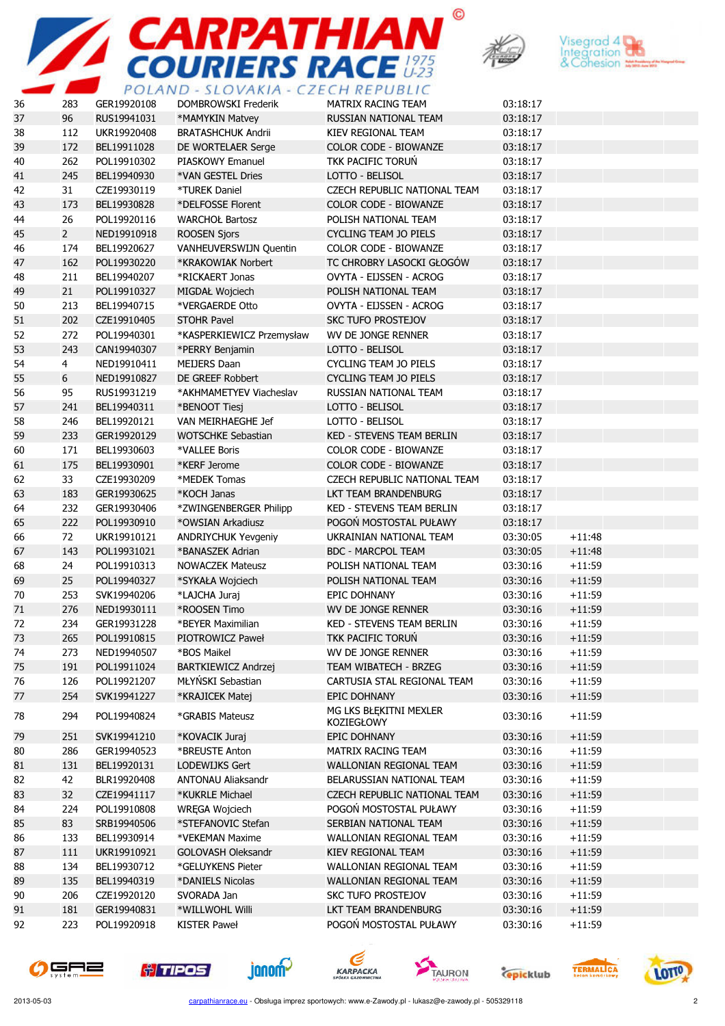





| 36 | 283            | GER19920108 | TULINU - SLUVINII - CZLCII NLI UDLIC<br><b>DOMBROWSKI Frederik</b> | MATRIX RACING TEAM                            | 03:18:17 |          |
|----|----------------|-------------|--------------------------------------------------------------------|-----------------------------------------------|----------|----------|
| 37 | 96             | RUS19941031 | *MAMYKIN Matvey                                                    | RUSSIAN NATIONAL TEAM                         | 03:18:17 |          |
| 38 | 112            | UKR19920408 | <b>BRATASHCHUK Andrii</b>                                          | KIEV REGIONAL TEAM                            | 03:18:17 |          |
| 39 | 172            | BEL19911028 | DE WORTELAER Serge                                                 | COLOR CODE - BIOWANZE                         | 03:18:17 |          |
| 40 | 262            | POL19910302 | PIASKOWY Emanuel                                                   | TKK PACIFIC TORUŃ                             | 03:18:17 |          |
| 41 | 245            | BEL19940930 | *VAN GESTEL Dries                                                  | LOTTO - BELISOL                               | 03:18:17 |          |
| 42 |                |             |                                                                    | CZECH REPUBLIC NATIONAL TEAM                  |          |          |
| 43 | 31             | CZE19930119 | <b>*TUREK Daniel</b>                                               |                                               | 03:18:17 |          |
|    | 173            | BEL19930828 | *DELFOSSE Florent<br><b>WARCHOŁ Bartosz</b>                        | COLOR CODE - BIOWANZE<br>POLISH NATIONAL TEAM | 03:18:17 |          |
| 44 | 26             | POL19920116 |                                                                    |                                               | 03:18:17 |          |
| 45 | $2^{\circ}$    | NED19910918 | <b>ROOSEN Sjors</b>                                                | CYCLING TEAM JO PIELS                         | 03:18:17 |          |
| 46 | 174            | BEL19920627 | VANHEUVERSWIJN Quentin                                             | COLOR CODE - BIOWANZE                         | 03:18:17 |          |
| 47 | 162            | POL19930220 | *KRAKOWIAK Norbert                                                 | TC CHROBRY LASOCKI GŁOGÓW                     | 03:18:17 |          |
| 48 | 211            | BEL19940207 | *RICKAERT Jonas                                                    | OVYTA - EIJSSEN - ACROG                       | 03:18:17 |          |
| 49 | 21             | POL19910327 | MIGDAŁ Wojciech                                                    | POLISH NATIONAL TEAM                          | 03:18:17 |          |
| 50 | 213            | BEL19940715 | *VERGAERDE Otto                                                    | OVYTA - EIJSSEN - ACROG                       | 03:18:17 |          |
| 51 | 202            | CZE19910405 | <b>STOHR Pavel</b>                                                 | <b>SKC TUFO PROSTEJOV</b>                     | 03:18:17 |          |
| 52 | 272            | POL19940301 | *KASPERKIEWICZ Przemysław                                          | WV DE JONGE RENNER                            | 03:18:17 |          |
| 53 | 243            | CAN19940307 | *PERRY Benjamin                                                    | LOTTO - BELISOL                               | 03:18:17 |          |
| 54 | $\overline{4}$ | NED19910411 | <b>MEIJERS Daan</b>                                                | <b>CYCLING TEAM JO PIELS</b>                  | 03:18:17 |          |
| 55 | 6              | NED19910827 | DE GREEF Robbert                                                   | CYCLING TEAM JO PIELS                         | 03:18:17 |          |
| 56 | 95             | RUS19931219 | *AKHMAMETYEV Viacheslav                                            | RUSSIAN NATIONAL TEAM                         | 03:18:17 |          |
| 57 | 241            | BEL19940311 | *BENOOT Tiesj                                                      | LOTTO - BELISOL                               | 03:18:17 |          |
| 58 | 246            | BEL19920121 | VAN MEIRHAEGHE Jef                                                 | LOTTO - BELISOL                               | 03:18:17 |          |
| 59 | 233            | GER19920129 | <b>WOTSCHKE Sebastian</b>                                          | <b>KED - STEVENS TEAM BERLIN</b>              | 03:18:17 |          |
| 60 | 171            | BEL19930603 | *VALLEE Boris                                                      | COLOR CODE - BIOWANZE                         | 03:18:17 |          |
| 61 | 175            | BEL19930901 | *KERF Jerome                                                       | <b>COLOR CODE - BIOWANZE</b>                  | 03:18:17 |          |
| 62 | 33             | CZE19930209 | *MEDEK Tomas                                                       | CZECH REPUBLIC NATIONAL TEAM                  | 03:18:17 |          |
| 63 | 183            | GER19930625 | *KOCH Janas                                                        | LKT TEAM BRANDENBURG                          | 03:18:17 |          |
| 64 | 232            | GER19930406 | *ZWINGENBERGER Philipp                                             | KED - STEVENS TEAM BERLIN                     | 03:18:17 |          |
| 65 | 222            | POL19930910 | *OWSIAN Arkadiusz                                                  | POGON MOSTOSTAL PUŁAWY                        | 03:18:17 |          |
| 66 | 72             | UKR19910121 | ANDRIYCHUK Yevgeniy                                                | UKRAINIAN NATIONAL TEAM                       | 03:30:05 | $+11:48$ |
| 67 | 143            | POL19931021 | *BANASZEK Adrian                                                   | <b>BDC - MARCPOL TEAM</b>                     | 03:30:05 | $+11:48$ |
| 68 | 24             | POL19910313 | <b>NOWACZEK Mateusz</b>                                            | POLISH NATIONAL TEAM                          | 03:30:16 | $+11:59$ |
| 69 | 25             | POL19940327 | *SYKAŁA Wojciech                                                   | POLISH NATIONAL TEAM                          | 03:30:16 | $+11:59$ |
| 70 | 253            | SVK19940206 | *LAJCHA Juraj                                                      | EPIC DOHNANY                                  | 03:30:16 | $+11:59$ |
| 71 | 276            | NED19930111 | *ROOSEN Timo                                                       | <b>WV DE JONGE RENNER</b>                     | 03:30:16 | $+11:59$ |
| 72 | 234            | GER19931228 | *BEYER Maximilian                                                  | <b>KED - STEVENS TEAM BERLIN</b>              | 03:30:16 | $+11:59$ |
| 73 | 265            | POL19910815 | PIOTROWICZ Paweł                                                   | TKK PACIFIC TORUŃ                             | 03:30:16 | $+11:59$ |
| 74 | 273            | NED19940507 | *BOS Maikel                                                        | WV DE JONGE RENNER                            | 03:30:16 | $+11:59$ |
| 75 | 191            | POL19911024 | <b>BARTKIEWICZ Andrzej</b>                                         | TEAM WIBATECH - BRZEG                         | 03:30:16 | $+11:59$ |
| 76 | 126            | POL19921207 | MŁYŃSKI Sebastian                                                  | CARTUSIA STAL REGIONAL TEAM                   | 03:30:16 | $+11:59$ |
| 77 | 254            | SVK19941227 | *KRAJICEK Matej                                                    | EPIC DOHNANY                                  | 03:30:16 | $+11:59$ |
| 78 | 294            | POL19940824 | *GRABIS Mateusz                                                    | MG LKS BŁĘKITNI MEXLER<br>KOZIEGŁOWY          | 03:30:16 | $+11:59$ |
| 79 | 251            | SVK19941210 | *KOVACIK Juraj                                                     | EPIC DOHNANY                                  | 03:30:16 | $+11:59$ |
| 80 | 286            | GER19940523 | *BREUSTE Anton                                                     | MATRIX RACING TEAM                            | 03:30:16 | $+11:59$ |
| 81 | 131            | BEL19920131 | <b>LODEWIJKS Gert</b>                                              | WALLONIAN REGIONAL TEAM                       | 03:30:16 | $+11:59$ |
| 82 | 42             | BLR19920408 | <b>ANTONAU Aliaksandr</b>                                          | BELARUSSIAN NATIONAL TEAM                     | 03:30:16 | $+11:59$ |
| 83 | 32             | CZE19941117 | *KUKRLE Michael                                                    | CZECH REPUBLIC NATIONAL TEAM                  | 03:30:16 | $+11:59$ |
| 84 | 224            | POL19910808 | WRĘGA Wojciech                                                     | POGOŃ MOSTOSTAL PUŁAWY                        | 03:30:16 | $+11:59$ |
| 85 | 83             | SRB19940506 | *STEFANOVIC Stefan                                                 | SERBIAN NATIONAL TEAM                         | 03:30:16 | $+11:59$ |
| 86 | 133            | BEL19930914 | *VEKEMAN Maxime                                                    | WALLONIAN REGIONAL TEAM                       | 03:30:16 | $+11:59$ |
| 87 | 111            | UKR19910921 | GOLOVASH Oleksandr                                                 | KIEV REGIONAL TEAM                            | 03:30:16 | $+11:59$ |
| 88 | 134            | BEL19930712 | *GELUYKENS Pieter                                                  | WALLONIAN REGIONAL TEAM                       | 03:30:16 | $+11:59$ |
| 89 | 135            | BEL19940319 | *DANIELS Nicolas                                                   | WALLONIAN REGIONAL TEAM                       | 03:30:16 | $+11:59$ |
| 90 | 206            | CZE19920120 | SVORADA Jan                                                        | <b>SKC TUFO PROSTEJOV</b>                     | 03:30:16 | $+11:59$ |
| 91 | 181            | GER19940831 | *WILLWOHL Willi                                                    | LKT TEAM BRANDENBURG                          | 03:30:16 | $+11:59$ |
| 92 | 223            | POL19920918 | KISTER Paweł                                                       | POGOŃ MOSTOSTAL PUŁAWY                        | 03:30:16 | $+11:59$ |
|    |                |             |                                                                    |                                               |          |          |













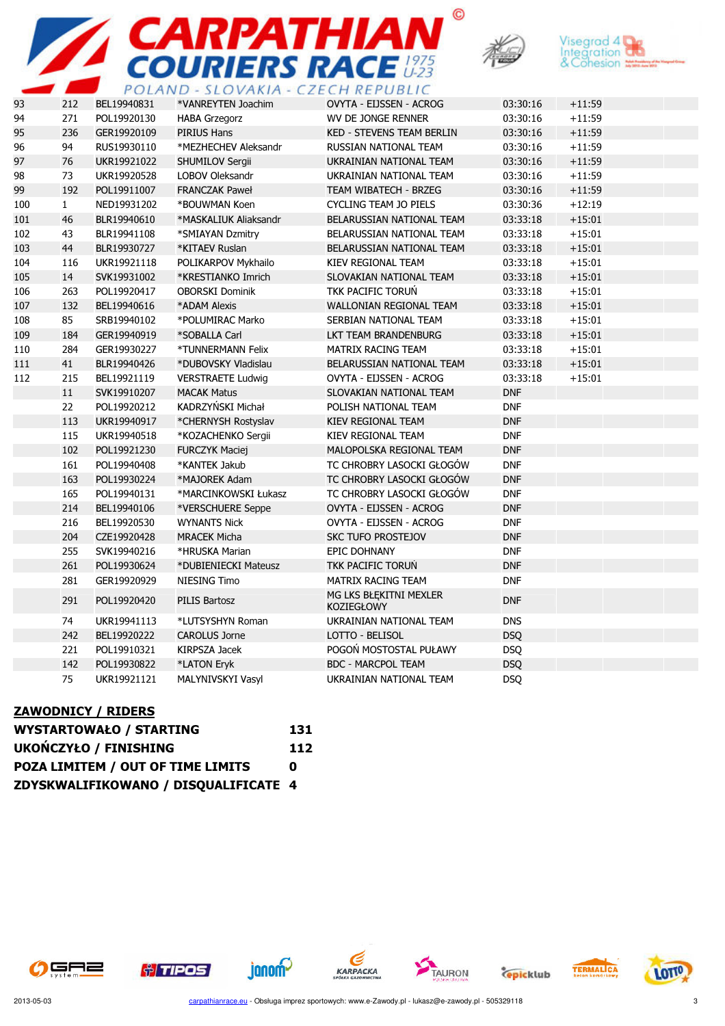





|     |              | $\sim$ $\sim$ $\sim$ $\sim$ $\sim$ | J L U V I I N I I        | CIINLI ODLIC                                |            |          |
|-----|--------------|------------------------------------|--------------------------|---------------------------------------------|------------|----------|
| 93  | 212          | BEL19940831                        | *VANREYTEN Joachim       | OVYTA - EIJSSEN - ACROG                     | 03:30:16   | $+11:59$ |
| 94  | 271          | POL19920130                        | <b>HABA Grzegorz</b>     | WV DE JONGE RENNER                          | 03:30:16   | $+11:59$ |
| 95  | 236          | GER19920109                        | PIRIUS Hans              | <b>KED - STEVENS TEAM BERLIN</b>            | 03:30:16   | $+11:59$ |
| 96  | 94           | RUS19930110                        | *MEZHECHEV Aleksandr     | RUSSIAN NATIONAL TEAM                       | 03:30:16   | $+11:59$ |
| 97  | 76           | UKR19921022                        | <b>SHUMILOV Sergii</b>   | UKRAINIAN NATIONAL TEAM                     | 03:30:16   | $+11:59$ |
| 98  | 73           | UKR19920528                        | <b>LOBOV Oleksandr</b>   | UKRAINIAN NATIONAL TEAM                     | 03:30:16   | $+11:59$ |
| 99  | 192          | POL19911007                        | <b>FRANCZAK Paweł</b>    | TEAM WIBATECH - BRZEG                       | 03:30:16   | $+11:59$ |
| 100 | $\mathbf{1}$ | NED19931202                        | *BOUWMAN Koen            | CYCLING TEAM JO PIELS                       | 03:30:36   | $+12:19$ |
| 101 | 46           | BLR19940610                        | *MASKALIUK Aliaksandr    | BELARUSSIAN NATIONAL TEAM                   | 03:33:18   | $+15:01$ |
| 102 | 43           | BLR19941108                        | *SMIAYAN Dzmitry         | BELARUSSIAN NATIONAL TEAM                   | 03:33:18   | $+15:01$ |
| 103 | 44           | BLR19930727                        | *KITAEV Ruslan           | BELARUSSIAN NATIONAL TEAM                   | 03:33:18   | $+15:01$ |
| 104 | 116          | UKR19921118                        | POLIKARPOV Mykhailo      | KIEV REGIONAL TEAM                          | 03:33:18   | $+15:01$ |
| 105 | 14           | SVK19931002                        | *KRESTIANKO Imrich       | SLOVAKIAN NATIONAL TEAM                     | 03:33:18   | $+15:01$ |
| 106 | 263          | POL19920417                        | <b>OBORSKI Dominik</b>   | TKK PACIFIC TORUN                           | 03:33:18   | $+15:01$ |
| 107 | 132          | BEL19940616                        | *ADAM Alexis             | WALLONIAN REGIONAL TEAM                     | 03:33:18   | $+15:01$ |
| 108 | 85           | SRB19940102                        | *POLUMIRAC Marko         | SERBIAN NATIONAL TEAM                       | 03:33:18   | $+15:01$ |
| 109 | 184          | GER19940919                        | *SOBALLA Carl            | LKT TEAM BRANDENBURG                        | 03:33:18   | $+15:01$ |
| 110 | 284          | GER19930227                        | *TUNNERMANN Felix        | MATRIX RACING TEAM                          | 03:33:18   | $+15:01$ |
| 111 | 41           | BLR19940426                        | *DUBOVSKY Vladislau      | BELARUSSIAN NATIONAL TEAM                   | 03:33:18   | $+15:01$ |
| 112 | 215          | BEL19921119                        | <b>VERSTRAETE Ludwig</b> | OVYTA - EIJSSEN - ACROG                     | 03:33:18   | $+15:01$ |
|     | 11           | SVK19910207                        | <b>MACAK Matus</b>       | SLOVAKIAN NATIONAL TEAM                     | <b>DNF</b> |          |
|     | 22           | POL19920212                        | KADRZYŃSKI Michał        | POLISH NATIONAL TEAM                        | <b>DNF</b> |          |
|     | 113          | UKR19940917                        | *CHERNYSH Rostyslav      | <b>KIEV REGIONAL TEAM</b>                   | <b>DNF</b> |          |
|     | 115          | UKR19940518                        | *KOZACHENKO Sergii       | KIEV REGIONAL TEAM                          | <b>DNF</b> |          |
|     | 102          | POL19921230                        | <b>FURCZYK Maciej</b>    | MALOPOLSKA REGIONAL TEAM                    | <b>DNF</b> |          |
|     | 161          | POL19940408                        | *KANTEK Jakub            | TC CHROBRY LASOCKI GŁOGÓW                   | <b>DNF</b> |          |
|     | 163          | POL19930224                        | *MAJOREK Adam            | TC CHROBRY LASOCKI GŁOGÓW                   | <b>DNF</b> |          |
|     | 165          | POL19940131                        | *MARCINKOWSKI Łukasz     | TC CHROBRY LASOCKI GŁOGÓW                   | <b>DNF</b> |          |
|     | 214          | BEL19940106                        | *VERSCHUERE Seppe        | OVYTA - EIJSSEN - ACROG                     | <b>DNF</b> |          |
|     | 216          | BEL19920530                        | <b>WYNANTS Nick</b>      | OVYTA - EIJSSEN - ACROG                     | <b>DNF</b> |          |
|     | 204          | CZE19920428                        | <b>MRACEK Micha</b>      | <b>SKC TUFO PROSTEJOV</b>                   | <b>DNF</b> |          |
|     | 255          | SVK19940216                        | *HRUSKA Marian           | EPIC DOHNANY                                | <b>DNF</b> |          |
|     | 261          | POL19930624                        | *DUBIENIECKI Mateusz     | TKK PACIFIC TORUN                           | <b>DNF</b> |          |
|     | 281          | GER19920929                        | NIESING Timo             | MATRIX RACING TEAM                          | <b>DNF</b> |          |
|     | 291          | POL19920420                        | <b>PILIS Bartosz</b>     | MG LKS BŁĘKITNI MEXLER<br><b>KOZIEGŁOWY</b> | <b>DNF</b> |          |
|     | 74           | UKR19941113                        | *LUTSYSHYN Roman         | UKRAINIAN NATIONAL TEAM                     | <b>DNS</b> |          |
|     | 242          | BEL19920222                        | <b>CAROLUS Jorne</b>     | LOTTO - BELISOL                             | <b>DSQ</b> |          |
|     | 221          | POL19910321                        | KIRPSZA Jacek            | POGOŃ MOSTOSTAL PUŁAWY                      | <b>DSQ</b> |          |
|     | 142          | POL19930822                        | *LATON Eryk              | <b>BDC - MARCPOL TEAM</b>                   | <b>DSQ</b> |          |
|     | 75           | UKR19921121                        | MALYNIVSKYI Vasyl        | UKRAINIAN NATIONAL TEAM                     | <b>DSQ</b> |          |

#### ZAWODNICY / RIDERS

| <b>WYSTARTOWAŁO / STARTING</b>       | 131 |
|--------------------------------------|-----|
| <b>UKOŃCZYŁO / FINISHING</b>         | 112 |
| POZA LIMITEM / OUT OF TIME LIMITS    | n   |
| ZDYSKWALIFIKOWANO / DISQUALIFICATE 4 |     |





**janom** 







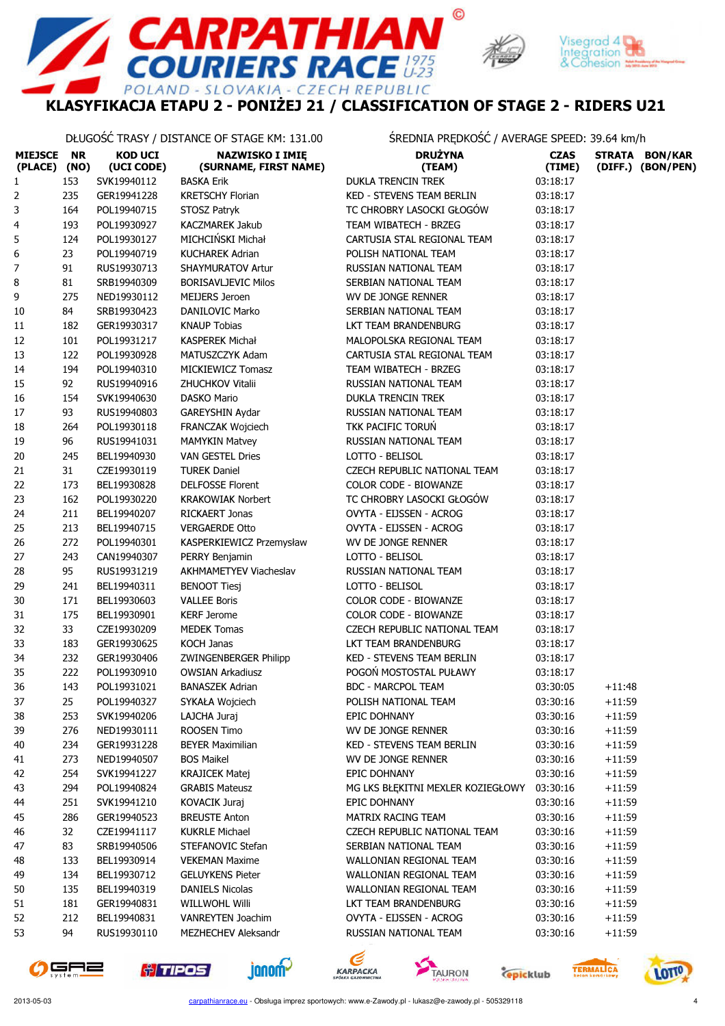

 $\odot$ 

 $E_{U-23}^{1975}$ 



## KLASYFIKACJA ETAPU 2 - PONIŻEJ 21 / CLASSIFICATION OF STAGE 2 - RIDERS U21

**PATHIA**<br>ERS RACE

D - SLOVAKIA - CZECH REPUBLIC

DŁUGOŚĆ TRASY / DISTANCE OF STAGE KM: 131.00 ŚREDNIA PRĘDKOŚĆ / AVERAGE SPEED: 39.64 km/h

POLAN

| MIEJSCE NR<br>(PLACE) | (NO) | <b>KOD UCI</b><br>(UCI CODE) | <b>NAZWISKO I IMIĘ</b><br>(SURNAME, FIRST NAME) | <b>DRUŻYNA</b><br>(TEAM)                        | <b>CZAS</b><br>(TIME) |          | STRATA BON/KAR<br>(DIFF.) (BON/PEN) |
|-----------------------|------|------------------------------|-------------------------------------------------|-------------------------------------------------|-----------------------|----------|-------------------------------------|
| 1                     | 153  | SVK19940112                  | <b>BASKA Erik</b>                               | DUKLA TRENCIN TREK                              | 03:18:17              |          |                                     |
| 2                     | 235  | GER19941228                  | <b>KRETSCHY Florian</b>                         | KED - STEVENS TEAM BERLIN                       | 03:18:17              |          |                                     |
| 3                     | 164  | POL19940715                  | STOSZ Patryk                                    | TC CHROBRY LASOCKI GŁOGÓW                       | 03:18:17              |          |                                     |
| 4                     | 193  | POL19930927                  | <b>KACZMAREK Jakub</b>                          | TEAM WIBATECH - BRZEG                           | 03:18:17              |          |                                     |
| 5                     | 124  | POL19930127                  | MICHCIŃSKI Michał                               | CARTUSIA STAL REGIONAL TEAM                     | 03:18:17              |          |                                     |
| 6                     | 23   | POL19940719                  | <b>KUCHAREK Adrian</b>                          | POLISH NATIONAL TEAM                            | 03:18:17              |          |                                     |
| 7                     | 91   | RUS19930713                  | <b>SHAYMURATOV Artur</b>                        | RUSSIAN NATIONAL TEAM                           | 03:18:17              |          |                                     |
| 8                     | 81   | SRB19940309                  | <b>BORISAVLJEVIC Milos</b>                      | SERBIAN NATIONAL TEAM                           | 03:18:17              |          |                                     |
| 9                     | 275  | NED19930112                  | <b>MEIJERS Jeroen</b>                           | WV DE JONGE RENNER                              | 03:18:17              |          |                                     |
| 10                    | 84   | SRB19930423                  | DANILOVIC Marko                                 | SERBIAN NATIONAL TEAM                           | 03:18:17              |          |                                     |
| 11                    | 182  | GER19930317                  | <b>KNAUP Tobias</b>                             | LKT TEAM BRANDENBURG                            | 03:18:17              |          |                                     |
| 12                    | 101  | POL19931217                  | <b>KASPEREK Michał</b>                          | MALOPOLSKA REGIONAL TEAM                        | 03:18:17              |          |                                     |
| 13                    | 122  | POL19930928                  | MATUSZCZYK Adam                                 | CARTUSIA STAL REGIONAL TEAM                     | 03:18:17              |          |                                     |
| 14                    | 194  | POL19940310                  | MICKIEWICZ Tomasz                               | TEAM WIBATECH - BRZEG                           | 03:18:17              |          |                                     |
| 15                    | 92   | RUS19940916                  | ZHUCHKOV Vitalii                                | RUSSIAN NATIONAL TEAM                           | 03:18:17              |          |                                     |
| 16                    | 154  | SVK19940630                  | DASKO Mario                                     | <b>DUKLA TRENCIN TREK</b>                       | 03:18:17              |          |                                     |
| $17\,$                | 93   | RUS19940803                  | GAREYSHIN Aydar                                 | RUSSIAN NATIONAL TEAM                           | 03:18:17              |          |                                     |
| 18                    | 264  | POL19930118                  | <b>FRANCZAK Wojciech</b>                        | TKK PACIFIC TORUŃ                               | 03:18:17              |          |                                     |
| 19                    | 96   | RUS19941031                  | <b>MAMYKIN Matvey</b>                           | RUSSIAN NATIONAL TEAM                           | 03:18:17              |          |                                     |
| 20                    | 245  | BEL19940930                  | VAN GESTEL Dries                                | LOTTO - BELISOL                                 | 03:18:17              |          |                                     |
| 21                    | 31   | CZE19930119                  | <b>TUREK Daniel</b>                             | CZECH REPUBLIC NATIONAL TEAM                    | 03:18:17              |          |                                     |
| 22                    | 173  | BEL19930828                  | <b>DELFOSSE Florent</b>                         | <b>COLOR CODE - BIOWANZE</b>                    | 03:18:17              |          |                                     |
| 23                    | 162  | POL19930220                  | <b>KRAKOWIAK Norbert</b>                        | TC CHROBRY LASOCKI GŁOGÓW                       | 03:18:17              |          |                                     |
| 24                    | 211  | BEL19940207                  | <b>RICKAERT Jonas</b>                           | OVYTA - EIJSSEN - ACROG                         | 03:18:17              |          |                                     |
| 25                    | 213  | BEL19940715                  | <b>VERGAERDE Otto</b>                           | OVYTA - EIJSSEN - ACROG                         | 03:18:17              |          |                                     |
| 26                    | 272  | POL19940301                  | KASPERKIEWICZ Przemysław                        | WV DE JONGE RENNER                              | 03:18:17              |          |                                     |
| 27                    | 243  | CAN19940307                  | PERRY Benjamin                                  | LOTTO - BELISOL                                 | 03:18:17              |          |                                     |
| 28                    | 95   | RUS19931219                  | AKHMAMETYEV Viacheslav                          | RUSSIAN NATIONAL TEAM                           | 03:18:17              |          |                                     |
| 29                    | 241  | BEL19940311                  | <b>BENOOT Tiesj</b>                             | LOTTO - BELISOL                                 | 03:18:17              |          |                                     |
| 30                    | 171  | BEL19930603                  | <b>VALLEE Boris</b>                             | COLOR CODE - BIOWANZE                           | 03:18:17              |          |                                     |
| 31                    | 175  | BEL19930901                  | <b>KERF Jerome</b>                              | COLOR CODE - BIOWANZE                           | 03:18:17              |          |                                     |
| 32                    | 33   | CZE19930209                  | <b>MEDEK Tomas</b>                              | CZECH REPUBLIC NATIONAL TEAM                    | 03:18:17              |          |                                     |
| 33                    | 183  | GER19930625                  | <b>KOCH Janas</b>                               | LKT TEAM BRANDENBURG                            | 03:18:17              |          |                                     |
| 34                    | 232  | GER19930406                  | ZWINGENBERGER Philipp                           | KED - STEVENS TEAM BERLIN                       | 03:18:17              |          |                                     |
| 35                    | 222  | POL19930910                  | <b>OWSIAN Arkadiusz</b>                         | POGOŃ MOSTOSTAL PUŁAWY                          | 03:18:17              |          |                                     |
| 36                    | 143  | POL19931021                  | <b>BANASZEK Adrian</b>                          | <b>BDC - MARCPOL TEAM</b>                       | 03:30:05              | $+11:48$ |                                     |
| 37                    | 25   | POL19940327                  | SYKAŁA Wojciech                                 | POLISH NATIONAL TEAM                            | 03:30:16              | $+11:59$ |                                     |
|                       |      |                              | LAJCHA Juraj                                    |                                                 |                       |          |                                     |
| 38                    | 253  | SVK19940206                  |                                                 | EPIC DOHNANY                                    | 03:30:16              | $+11:59$ |                                     |
| 39                    | 276  | NED19930111                  | ROOSEN Timo                                     | WV DE JONGE RENNER                              | 03:30:16              | $+11:59$ |                                     |
| 40                    | 234  | GER19931228                  | <b>BEYER Maximilian</b>                         | KED - STEVENS TEAM BERLIN<br>WV DE JONGE RENNER | 03:30:16              | $+11:59$ |                                     |
| 41                    | 273  | NED19940507                  | <b>BOS Maikel</b>                               |                                                 | 03:30:16              | $+11:59$ |                                     |
| 42                    | 254  | SVK19941227                  | <b>KRAJICEK Matej</b>                           | EPIC DOHNANY                                    | 03:30:16              | $+11:59$ |                                     |
| 43                    | 294  | POL19940824                  | <b>GRABIS Mateusz</b>                           | MG LKS BŁEKITNI MEXLER KOZIEGŁOWY               | 03:30:16              | $+11:59$ |                                     |
| 44                    | 251  | SVK19941210                  | <b>KOVACIK Juraj</b>                            | EPIC DOHNANY                                    | 03:30:16              | $+11:59$ |                                     |
| 45                    | 286  | GER19940523                  | <b>BREUSTE Anton</b>                            | MATRIX RACING TEAM                              | 03:30:16              | $+11:59$ |                                     |
| 46                    | 32   | CZE19941117                  | <b>KUKRLE Michael</b>                           | CZECH REPUBLIC NATIONAL TEAM                    | 03:30:16              | $+11:59$ |                                     |
| 47                    | 83   | SRB19940506                  | STEFANOVIC Stefan                               | SERBIAN NATIONAL TEAM                           | 03:30:16              | $+11:59$ |                                     |
| 48                    | 133  | BEL19930914                  | <b>VEKEMAN Maxime</b>                           | WALLONIAN REGIONAL TEAM                         | 03:30:16              | $+11:59$ |                                     |
| 49                    | 134  | BEL19930712                  | <b>GELUYKENS Pieter</b>                         | WALLONIAN REGIONAL TEAM                         | 03:30:16              | $+11:59$ |                                     |
| 50                    | 135  | BEL19940319                  | <b>DANIELS Nicolas</b>                          | WALLONIAN REGIONAL TEAM                         | 03:30:16              | $+11:59$ |                                     |
| 51                    | 181  | GER19940831                  | <b>WILLWOHL Willi</b>                           | LKT TEAM BRANDENBURG                            | 03:30:16              | $+11:59$ |                                     |
| 52                    | 212  | BEL19940831                  | <b>VANREYTEN Joachim</b>                        | OVYTA - EIJSSEN - ACROG                         | 03:30:16              | $+11:59$ |                                     |
| 53                    | 94   | RUS19930110                  | MEZHECHEV Aleksandr                             | RUSSIAN NATIONAL TEAM                           | 03:30:16              | $+11:59$ |                                     |











**Cepicklub** 

**TERMALICA** 

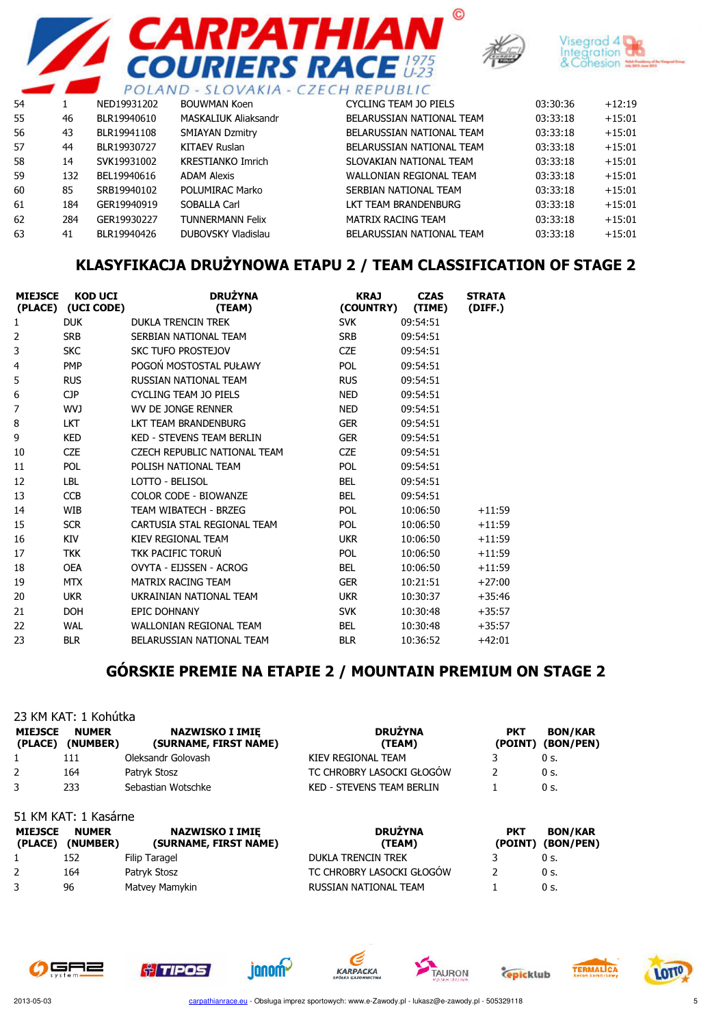





|    |     |             |                          | PULAIND - SLUVANIA - CZECH REPUBLIC |          |          |
|----|-----|-------------|--------------------------|-------------------------------------|----------|----------|
| 54 |     | NED19931202 | <b>BOUWMAN Koen</b>      | CYCLING TEAM JO PIELS               | 03:30:36 | $+12:19$ |
| 55 | 46  | BLR19940610 | MASKALIUK Aliaksandr     | BELARUSSIAN NATIONAL TEAM           | 03:33:18 | $+15:01$ |
| 56 | 43  | BLR19941108 | <b>SMIAYAN Dzmitry</b>   | BELARUSSIAN NATIONAL TEAM           | 03:33:18 | $+15:01$ |
| 57 | 44  | BLR19930727 | <b>KITAEV Ruslan</b>     | BELARUSSIAN NATIONAL TEAM           | 03:33:18 | $+15:01$ |
| 58 | 14  | SVK19931002 | <b>KRESTIANKO Imrich</b> | SLOVAKIAN NATIONAL TEAM             | 03:33:18 | $+15:01$ |
| 59 | 132 | BEL19940616 | <b>ADAM Alexis</b>       | WALLONIAN REGIONAL TEAM             | 03:33:18 | $+15:01$ |
| 60 | 85  | SRB19940102 | POLUMIRAC Marko          | SERBIAN NATIONAL TEAM               | 03:33:18 | $+15:01$ |
| 61 | 184 | GER19940919 | SOBALLA Carl             | LKT TEAM BRANDENBURG                | 03:33:18 | $+15:01$ |
| 62 | 284 | GER19930227 | <b>TUNNERMANN Felix</b>  | <b>MATRIX RACING TEAM</b>           | 03:33:18 | $+15:01$ |
| 63 | 41  | BLR19940426 | DUBOVSKY Vladislau       | BELARUSSIAN NATIONAL TEAM           | 03:33:18 | $+15:01$ |
|    |     |             |                          |                                     |          |          |

## KLASYFIKACJA DRUŻYNOWA ETAPU 2 / TEAM CLASSIFICATION OF STAGE 2

| <b>MIEJSCE</b> | <b>KOD UCI</b><br>(PLACE) (UCI CODE) | <b>DRUŻYNA</b><br>(TEAM)         | <b>KRAJ</b><br>(COUNTRY) | <b>CZAS</b><br>(TIME) | <b>STRATA</b><br>(DIFF.) |
|----------------|--------------------------------------|----------------------------------|--------------------------|-----------------------|--------------------------|
| 1              | <b>DUK</b>                           | <b>DUKLA TRENCIN TREK</b>        | <b>SVK</b>               | 09:54:51              |                          |
| 2              | <b>SRB</b>                           | SERBIAN NATIONAL TEAM            | <b>SRB</b>               | 09:54:51              |                          |
| 3              | <b>SKC</b>                           | <b>SKC TUFO PROSTEJOV</b>        | <b>CZE</b>               | 09:54:51              |                          |
| 4              | <b>PMP</b>                           | POGOŃ MOSTOSTAL PUŁAWY           | <b>POL</b>               | 09:54:51              |                          |
| 5              | <b>RUS</b>                           | RUSSIAN NATIONAL TFAM            | <b>RUS</b>               | 09:54:51              |                          |
| 6              | <b>CJP</b>                           | <b>CYCLING TEAM JO PIELS</b>     | <b>NED</b>               | 09:54:51              |                          |
| 7              | WVJ                                  | WV DE JONGE RENNER               | <b>NED</b>               | 09:54:51              |                          |
| 8              | <b>LKT</b>                           | <b>I KT TFAM BRANDFNBURG</b>     | <b>GER</b>               | 09:54:51              |                          |
| 9              | <b>KED</b>                           | <b>KED - STEVENS TEAM BERLIN</b> | <b>GER</b>               | 09:54:51              |                          |
| 10             | <b>CZE</b>                           | CZECH REPUBLIC NATIONAL TEAM     | <b>CZE</b>               | 09:54:51              |                          |
| 11             | <b>POL</b>                           | POLISH NATIONAL TEAM             | <b>POL</b>               | 09:54:51              |                          |
| 12             | <b>LBL</b>                           | LOTTO - BELISOL                  | <b>BEL</b>               | 09:54:51              |                          |
| 13             | <b>CCB</b>                           | COLOR CODE - BIOWANZE            | <b>BEL</b>               | 09:54:51              |                          |
| 14             | <b>WIB</b>                           | TEAM WIBATECH - BRZEG            | <b>POL</b>               | 10:06:50              | $+11:59$                 |
| 15             | <b>SCR</b>                           | CARTUSIA STAL REGIONAL TEAM      | <b>POL</b>               | 10:06:50              | $+11:59$                 |
| 16             | KIV                                  | KIEV REGIONAL TEAM               | <b>UKR</b>               | 10:06:50              | $+11:59$                 |
| 17             | <b>TKK</b>                           | TKK PACIFIC TORUN                | <b>POL</b>               | 10:06:50              | $+11:59$                 |
| 18             | <b>OEA</b>                           | OVYTA - EIJSSEN - ACROG          | <b>BEL</b>               | 10:06:50              | $+11:59$                 |
| 19             | <b>MTX</b>                           | MATRIX RACING TEAM               | <b>GER</b>               | 10:21:51              | $+27:00$                 |
| 20             | <b>UKR</b>                           | UKRAINIAN NATIONAL TEAM          | <b>UKR</b>               | 10:30:37              | $+35:46$                 |
| 21             | <b>DOH</b>                           | <b>EPIC DOHNANY</b>              | <b>SVK</b>               | 10:30:48              | $+35:57$                 |
| 22             | <b>WAL</b>                           | WALLONIAN REGIONAL TEAM          | <b>BEL</b>               | 10:30:48              | $+35:57$                 |
| 23             | <b>BLR</b>                           | BELARUSSIAN NATIONAL TEAM        | <b>BLR</b>               | 10:36:52              | $+42:01$                 |

## GÓRSKIE PREMIE NA ETAPIE 2 / MOUNTAIN PREMIUM ON STAGE 2

| <b>MIEJSCE</b> | 23 KM KAT: 1 Kohútka<br><b>NUMER</b> | <b>NAZWISKO I IMIE</b> | <b>DRUŻYNA</b>                   | <b>PKT</b> | <b>BON/KAR</b>    |
|----------------|--------------------------------------|------------------------|----------------------------------|------------|-------------------|
|                | (PLACE) (NUMBER)                     | (SURNAME, FIRST NAME)  | (TEAM)                           |            | (POINT) (BON/PEN) |
|                | 111                                  | Oleksandr Golovash     | KIEV REGIONAL TEAM               |            | 0 s.              |
| 2              | 164                                  | Patryk Stosz           | TC CHROBRY LASOCKI GŁOGÓW        |            | 0 s.              |
| 3              | 233                                  | Sebastian Wotschke     | <b>KED - STEVENS TEAM BERLIN</b> |            | 0 s.              |
|                | 51 KM KAT: 1 Kasárne                 |                        |                                  |            |                   |

| <b>MIEJSCE</b> | <b>NUMER</b><br>(PLACE) (NUMBER) | <b>NAZWISKO I IMIE</b><br>(SURNAME, FIRST NAME) | <b>DRUŻYNA</b><br>(TEAM)  | <b>PKT</b> | <b>BON/KAR</b><br>(POINT) (BON/PEN) |
|----------------|----------------------------------|-------------------------------------------------|---------------------------|------------|-------------------------------------|
|                | 152                              | Filip Taragel                                   | <b>DUKLA TRENCIN TREK</b> |            | 0 s.                                |
|                | 164                              | Patryk Stosz                                    | TC CHROBRY LASOCKI GŁOGÓW |            | $0s$ .                              |
|                | 96                               | Matvey Mamykin                                  | RUSSIAN NATIONAL TEAM     |            | 0 s.                                |

janom~











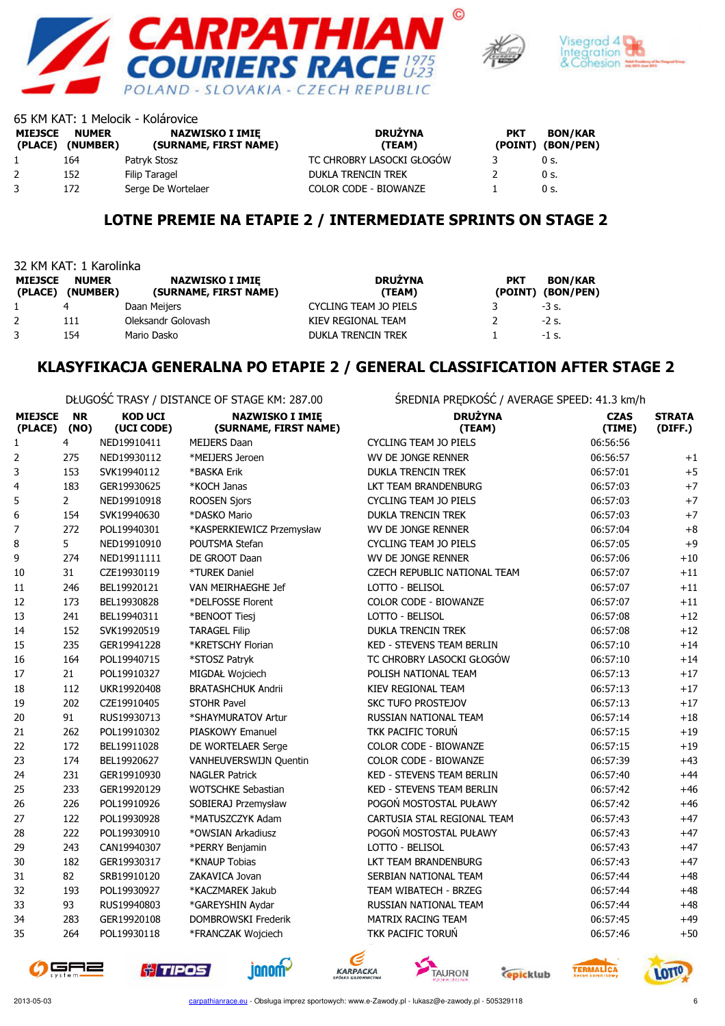





|                           |                          | 65 KM KAT: 1 Melocik - Kolárovice               |                              |            |                                     |
|---------------------------|--------------------------|-------------------------------------------------|------------------------------|------------|-------------------------------------|
| <b>MIEJSCE</b><br>(PLACE) | <b>NUMER</b><br>(NUMBER) | <b>NAZWISKO I IMIE</b><br>(SURNAME, FIRST NAME) | <b>DRUŻYNA</b><br>(TEAM)     | <b>PKT</b> | <b>BON/KAR</b><br>(POINT) (BON/PEN) |
|                           | 164                      | Patryk Stosz                                    | TC CHROBRY LASOCKI GŁOGÓW    |            | 0 s.                                |
| $\mathbf{2}$              | 152                      | Filip Taragel                                   | <b>DUKLA TRENCIN TREK</b>    |            | 0 s.                                |
|                           | 172                      | Serge De Wortelaer                              | <b>COLOR CODE - BIOWANZE</b> |            | 0 s.                                |

#### LOTNE PREMIE NA ETAPIE 2 / INTERMEDIATE SPRINTS ON STAGE 2

| 32 KM KAT: 1 Karolinka    |                          |                                                 |                              |            |                                     |
|---------------------------|--------------------------|-------------------------------------------------|------------------------------|------------|-------------------------------------|
| <b>MIEJSCE</b><br>(PLACE) | <b>NUMER</b><br>(NUMBER) | <b>NAZWISKO I IMIE</b><br>(SURNAME, FIRST NAME) | <b>DRUŻYNA</b><br>(TEAM)     | <b>PKT</b> | <b>BON/KAR</b><br>(POINT) (BON/PEN) |
|                           | 4                        | Daan Meijers                                    | <b>CYCLING TEAM JO PIELS</b> |            | $-3$ s.                             |
|                           | 111                      | Oleksandr Golovash                              | KIEV REGIONAL TEAM           |            | $-2$ s.                             |
|                           | 154                      | Mario Dasko                                     | <b>DUKLA TRENCIN TREK</b>    |            | $-1$ s.                             |

#### KLASYFIKACJA GENERALNA PO ETAPIE 2 / GENERAL CLASSIFICATION AFTER STAGE 2

DŁUGOŚĆ TRASY / DISTANCE OF STAGE KM: 287.00 ŚREDNIA PRĘDKOŚĆ / AVERAGE SPEED: 41.3 km/h

| <b>MIEJSCE</b><br>(PLACE) | <b>NR</b><br>(NO) | <b>KOD UCI</b><br>(UCI CODE) | <b>NAZWISKO I IMIĘ</b><br>(SURNAME, FIRST NAME) | <b>DRUŻYNA</b><br>(TEAM)         | <b>CZAS</b><br>(TIME) | <b>STRATA</b><br>(DIFF.) |
|---------------------------|-------------------|------------------------------|-------------------------------------------------|----------------------------------|-----------------------|--------------------------|
| $\mathbf{1}$              | $\overline{4}$    | NED19910411                  | <b>MEIJERS Daan</b>                             | <b>CYCLING TEAM JO PIELS</b>     | 06:56:56              |                          |
| 2                         | 275               | NED19930112                  | *MEIJERS Jeroen                                 | WV DE JONGE RENNER               | 06:56:57              | $+1$                     |
| 3                         | 153               | SVK19940112                  | *BASKA Erik                                     | <b>DUKLA TRENCIN TREK</b>        | 06:57:01              | $+5$                     |
| 4                         | 183               | GER19930625                  | *KOCH Janas                                     | LKT TEAM BRANDENBURG             | 06:57:03              | $+7$                     |
| 5                         | $\overline{2}$    | NED19910918                  | <b>ROOSEN Sjors</b>                             | <b>CYCLING TEAM JO PIELS</b>     | 06:57:03              | $+7$                     |
| 6                         | 154               | SVK19940630                  | *DASKO Mario                                    | <b>DUKLA TRENCIN TREK</b>        | 06:57:03              | $+7$                     |
| $\boldsymbol{7}$          | 272               | POL19940301                  | *KASPERKIEWICZ Przemysław                       | WV DE JONGE RENNER               | 06:57:04              | $+8$                     |
| 8                         | 5                 | NED19910910                  | POUTSMA Stefan                                  | <b>CYCLING TEAM JO PIELS</b>     | 06:57:05              | $+9$                     |
| 9                         | 274               | NED19911111                  | DE GROOT Daan                                   | WV DE JONGE RENNER               | 06:57:06              | $+10$                    |
| 10                        | 31                | CZE19930119                  | *TUREK Daniel                                   | CZECH REPUBLIC NATIONAL TEAM     | 06:57:07              | $+11$                    |
| 11                        | 246               | BEL19920121                  | VAN MEIRHAEGHE Jef                              | LOTTO - BELISOL                  | 06:57:07              | $+11$                    |
| 12                        | 173               | BEL19930828                  | *DELFOSSE Florent                               | <b>COLOR CODE - BIOWANZE</b>     | 06:57:07              | $+11$                    |
| 13                        | 241               | BEL19940311                  | *BENOOT Tiesj                                   | LOTTO - BELISOL                  | 06:57:08              | $+12$                    |
| 14                        | 152               | SVK19920519                  | <b>TARAGEL Filip</b>                            | <b>DUKLA TRENCIN TREK</b>        | 06:57:08              | $+12$                    |
| 15                        | 235               | GER19941228                  | *KRETSCHY Florian                               | <b>KED - STEVENS TEAM BERLIN</b> | 06:57:10              | $+14$                    |
| 16                        | 164               | POL19940715                  | *STOSZ Patryk                                   | TC CHROBRY LASOCKI GŁOGÓW        | 06:57:10              | $+14$                    |
| 17                        | 21                | POL19910327                  | MIGDAŁ Wojciech                                 | POLISH NATIONAL TEAM             | 06:57:13              | $+17$                    |
| 18                        | 112               | UKR19920408                  | <b>BRATASHCHUK Andrii</b>                       | <b>KIEV REGIONAL TEAM</b>        | 06:57:13              | $+17$                    |
| 19                        | 202               | CZE19910405                  | STOHR Pavel                                     | <b>SKC TUFO PROSTEJOV</b>        | 06:57:13              | $+17$                    |
| 20                        | 91                | RUS19930713                  | *SHAYMURATOV Artur                              | RUSSIAN NATIONAL TEAM            | 06:57:14              | $+18$                    |
| 21                        | 262               | POL19910302                  | <b>PIASKOWY Emanuel</b>                         | TKK PACIFIC TORUŃ                | 06:57:15              | $+19$                    |
| 22                        | 172               | BEL19911028                  | DE WORTELAER Serge                              | <b>COLOR CODE - BIOWANZE</b>     | 06:57:15              | $+19$                    |
| 23                        | 174               | BEL19920627                  | VANHEUVERSWIJN Quentin                          | COLOR CODE - BIOWANZE            | 06:57:39              | $+43$                    |
| 24                        | 231               | GER19910930                  | <b>NAGLER Patrick</b>                           | <b>KED - STEVENS TEAM BERLIN</b> | 06:57:40              | $+44$                    |
| 25                        | 233               | GER19920129                  | <b>WOTSCHKE Sebastian</b>                       | <b>KED - STEVENS TEAM BERLIN</b> | 06:57:42              | $+46$                    |
| 26                        | 226               | POL19910926                  | SOBIERAJ Przemysław                             | POGOŃ MOSTOSTAL PUŁAWY           | 06:57:42              | $+46$                    |
| 27                        | 122               | POL19930928                  | *MATUSZCZYK Adam                                | CARTUSIA STAL REGIONAL TEAM      | 06:57:43              | $+47$                    |
| 28                        | 222               | POL19930910                  | *OWSIAN Arkadiusz                               | POGOŃ MOSTOSTAL PUŁAWY           | 06:57:43              | $+47$                    |
| 29                        | 243               | CAN19940307                  | *PERRY Benjamin                                 | LOTTO - BELISOL                  | 06:57:43              | $+47$                    |
| 30                        | 182               | GER19930317                  | *KNAUP Tobias                                   | <b>LKT TEAM BRANDENBURG</b>      | 06:57:43              | $+47$                    |
| 31                        | 82                | SRB19910120                  | ZAKAVICA Jovan                                  | SERBIAN NATIONAL TEAM            | 06:57:44              | $+48$                    |
| 32                        | 193               | POL19930927                  | *KACZMAREK Jakub                                | TEAM WIBATECH - BRZEG            | 06:57:44              | $+48$                    |
| 33                        | 93                | RUS19940803                  | *GAREYSHIN Aydar                                | RUSSIAN NATIONAL TEAM            | 06:57:44              | $+48$                    |
| 34                        | 283               | GER19920108                  | DOMBROWSKI Frederik                             | <b>MATRIX RACING TEAM</b>        | 06:57:45              | $+49$                    |
| 35                        | 264               | POL19930118                  | *FRANCZAK Wojciech                              | TKK PACIFIC TORUŃ                | 06:57:46              | $+50$                    |













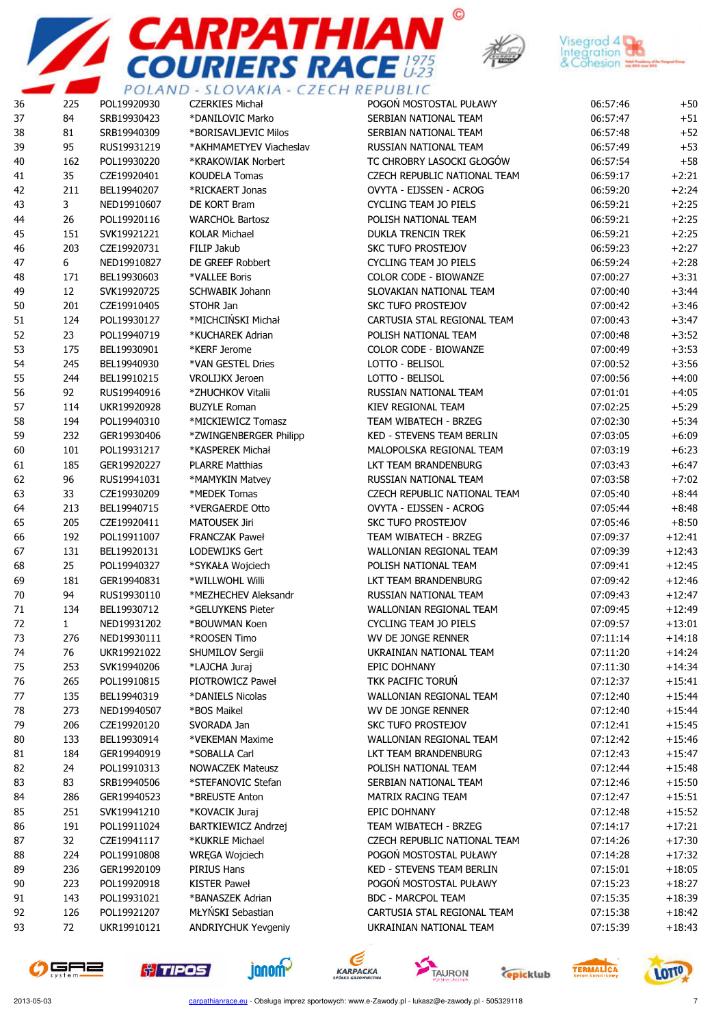





| 36 | 225          | and the state of the first state of<br>POL19920930 | <b>CZERKIES Michał</b>     | ______________________<br>POGOŃ MOSTOSTAL PUŁAWY | 06:57:46 | $+50$    |
|----|--------------|----------------------------------------------------|----------------------------|--------------------------------------------------|----------|----------|
| 37 | 84           | SRB19930423                                        | *DANILOVIC Marko           | SERBIAN NATIONAL TEAM                            | 06:57:47 | $+51$    |
| 38 | 81           | SRB19940309                                        | *BORISAVLJEVIC Milos       | SERBIAN NATIONAL TEAM                            | 06:57:48 | $+52$    |
| 39 | 95           | RUS19931219                                        | *AKHMAMETYEV Viacheslav    | RUSSIAN NATIONAL TEAM                            | 06:57:49 | $+53$    |
| 40 | 162          | POL19930220                                        | *KRAKOWIAK Norbert         | TC CHROBRY LASOCKI GŁOGÓW                        | 06:57:54 | $+58$    |
| 41 | 35           | CZE19920401                                        | <b>KOUDELA Tomas</b>       | CZECH REPUBLIC NATIONAL TEAM                     | 06:59:17 | $+2:21$  |
| 42 | 211          | BEL19940207                                        | *RICKAERT Jonas            | OVYTA - EIJSSEN - ACROG                          | 06:59:20 | $+2:24$  |
| 43 | 3            | NED19910607                                        | DE KORT Bram               | <b>CYCLING TEAM JO PIELS</b>                     | 06:59:21 | $+2:25$  |
| 44 | 26           | POL19920116                                        | <b>WARCHOŁ Bartosz</b>     | POLISH NATIONAL TEAM                             | 06:59:21 | $+2:25$  |
| 45 | 151          | SVK19921221                                        | <b>KOLAR Michael</b>       | <b>DUKLA TRENCIN TREK</b>                        | 06:59:21 | $+2:25$  |
| 46 | 203          | CZE19920731                                        | FILIP Jakub                | <b>SKC TUFO PROSTEJOV</b>                        | 06:59:23 | $+2:27$  |
| 47 | 6            | NED19910827                                        | DE GREEF Robbert           | CYCLING TEAM JO PIELS                            | 06:59:24 | $+2:28$  |
| 48 | 171          | BEL19930603                                        | *VALLEE Boris              | <b>COLOR CODE - BIOWANZE</b>                     | 07:00:27 | $+3:31$  |
| 49 | 12           | SVK19920725                                        | <b>SCHWABIK Johann</b>     | SLOVAKIAN NATIONAL TEAM                          | 07:00:40 | $+3:44$  |
| 50 | 201          | CZE19910405                                        | STOHR Jan                  | SKC TUFO PROSTEJOV                               | 07:00:42 | $+3:46$  |
| 51 | 124          | POL19930127                                        | *MICHCIŃSKI Michał         | CARTUSIA STAL REGIONAL TEAM                      | 07:00:43 | $+3:47$  |
| 52 | 23           | POL19940719                                        | *KUCHAREK Adrian           | POLISH NATIONAL TEAM                             | 07:00:48 | $+3:52$  |
| 53 | 175          | BEL19930901                                        | *KERF Jerome               | <b>COLOR CODE - BIOWANZE</b>                     | 07:00:49 | $+3:53$  |
| 54 | 245          | BEL19940930                                        | *VAN GESTEL Dries          | LOTTO - BELISOL                                  | 07:00:52 | $+3:56$  |
| 55 | 244          | BEL19910215                                        | VROLIJKX Jeroen            | LOTTO - BELISOL                                  | 07:00:56 | $+4:00$  |
| 56 | 92           | RUS19940916                                        | *ZHUCHKOV Vitalii          | RUSSIAN NATIONAL TEAM                            | 07:01:01 | $+4:05$  |
| 57 | 114          | UKR19920928                                        | <b>BUZYLE Roman</b>        | KIEV REGIONAL TEAM                               | 07:02:25 | $+5:29$  |
| 58 | 194          | POL19940310                                        | *MICKIEWICZ Tomasz         | TEAM WIBATECH - BRZEG                            | 07:02:30 | $+5:34$  |
| 59 | 232          | GER19930406                                        | *ZWINGENBERGER Philipp     | KED - STEVENS TEAM BERLIN                        | 07:03:05 | $+6:09$  |
| 60 | 101          | POL19931217                                        | *KASPEREK Michał           | MALOPOLSKA REGIONAL TEAM                         | 07:03:19 | $+6:23$  |
| 61 | 185          | GER19920227                                        | <b>PLARRE Matthias</b>     | LKT TEAM BRANDENBURG                             | 07:03:43 | $+6:47$  |
| 62 | 96           | RUS19941031                                        | *MAMYKIN Matvey            | RUSSIAN NATIONAL TEAM                            | 07:03:58 | $+7:02$  |
| 63 | 33           | CZE19930209                                        | *MEDEK Tomas               | CZECH REPUBLIC NATIONAL TEAM                     | 07:05:40 | $+8:44$  |
| 64 | 213          | BEL19940715                                        | *VERGAERDE Otto            | OVYTA - EIJSSEN - ACROG                          | 07:05:44 | $+8:48$  |
| 65 | 205          | CZE19920411                                        | <b>MATOUSEK Jiri</b>       | <b>SKC TUFO PROSTEJOV</b>                        | 07:05:46 | $+8:50$  |
| 66 | 192          | POL19911007                                        | <b>FRANCZAK Paweł</b>      | TEAM WIBATECH - BRZEG                            | 07:09:37 | $+12:41$ |
| 67 | 131          | BEL19920131                                        | LODEWIJKS Gert             | WALLONIAN REGIONAL TEAM                          | 07:09:39 | $+12:43$ |
| 68 | 25           | POL19940327                                        | *SYKAŁA Wojciech           | POLISH NATIONAL TEAM                             | 07:09:41 | $+12:45$ |
| 69 | 181          | GER19940831                                        | *WILLWOHL Willi            | LKT TEAM BRANDENBURG                             | 07:09:42 | $+12:46$ |
| 70 | 94           | RUS19930110                                        | *MEZHECHEV Aleksandr       | RUSSIAN NATIONAL TEAM                            | 07:09:43 | $+12:47$ |
| 71 | 134          | BEL19930712                                        | *GELUYKENS Pieter          | WALLONIAN REGIONAL TEAM                          | 07:09:45 | $+12:49$ |
| 72 | $\mathbf{1}$ | NED19931202                                        | *BOUWMAN Koen              | CYCLING TEAM JO PIELS                            | 07:09:57 | $+13:01$ |
| 73 | 276          | NED19930111                                        | *ROOSEN Timo               | <b>WV DE JONGE RENNER</b>                        | 07:11:14 | $+14:18$ |
| 74 | 76           | UKR19921022                                        | SHUMILOV Sergii            | UKRAINIAN NATIONAL TEAM                          | 07:11:20 | $+14:24$ |
| 75 | 253          | SVK19940206                                        | *LAJCHA Juraj              | EPIC DOHNANY                                     | 07:11:30 | $+14:34$ |
| 76 | 265          | POL19910815                                        | PIOTROWICZ Paweł           | TKK PACIFIC TORUN                                | 07:12:37 | $+15:41$ |
| 77 | 135          | BEL19940319                                        | *DANIELS Nicolas           | WALLONIAN REGIONAL TEAM                          | 07:12:40 | $+15:44$ |
| 78 | 273          | NED19940507                                        | *BOS Maikel                | WV DE JONGE RENNER                               | 07:12:40 | $+15:44$ |
| 79 | 206          | CZE19920120                                        | SVORADA Jan                | SKC TUFO PROSTEJOV                               | 07:12:41 | $+15:45$ |
| 80 | 133          | BEL19930914                                        | *VEKEMAN Maxime            | WALLONIAN REGIONAL TEAM                          | 07:12:42 | $+15:46$ |
| 81 | 184          | GER19940919                                        | *SOBALLA Carl              | LKT TEAM BRANDENBURG                             | 07:12:43 | $+15:47$ |
| 82 | 24           | POL19910313                                        | <b>NOWACZEK Mateusz</b>    | POLISH NATIONAL TEAM                             | 07:12:44 | $+15:48$ |
| 83 | 83           | SRB19940506                                        | *STEFANOVIC Stefan         | SERBIAN NATIONAL TEAM                            | 07:12:46 | $+15:50$ |
| 84 | 286          | GER19940523                                        | *BREUSTE Anton             | MATRIX RACING TEAM                               | 07:12:47 | $+15:51$ |
| 85 | 251          | SVK19941210                                        | *KOVACIK Juraj             | EPIC DOHNANY                                     | 07:12:48 | $+15:52$ |
| 86 | 191          | POL19911024                                        | BARTKIEWICZ Andrzej        | TEAM WIBATECH - BRZEG                            | 07:14:17 | $+17:21$ |
| 87 | 32           | CZE19941117                                        | *KUKRLE Michael            | CZECH REPUBLIC NATIONAL TEAM                     | 07:14:26 | $+17:30$ |
| 88 | 224          | POL19910808                                        | WRĘGA Wojciech             | POGOŃ MOSTOSTAL PUŁAWY                           | 07:14:28 | $+17:32$ |
| 89 | 236          | GER19920109                                        | PIRIUS Hans                | KED - STEVENS TEAM BERLIN                        | 07:15:01 | $+18:05$ |
| 90 | 223          | POL19920918                                        | KISTER Paweł               | POGOŃ MOSTOSTAL PUŁAWY                           | 07:15:23 | $+18:27$ |
| 91 | 143          | POL19931021                                        | *BANASZEK Adrian           | <b>BDC - MARCPOL TEAM</b>                        | 07:15:35 | $+18:39$ |
| 92 | 126          | POL19921207                                        | MŁYŃSKI Sebastian          | CARTUSIA STAL REGIONAL TEAM                      | 07:15:38 | $+18:42$ |
| 93 | 72           | UKR19910121                                        | <b>ANDRIYCHUK Yevgeniy</b> | UKRAINIAN NATIONAL TEAM                          | 07:15:39 | $+18:43$ |













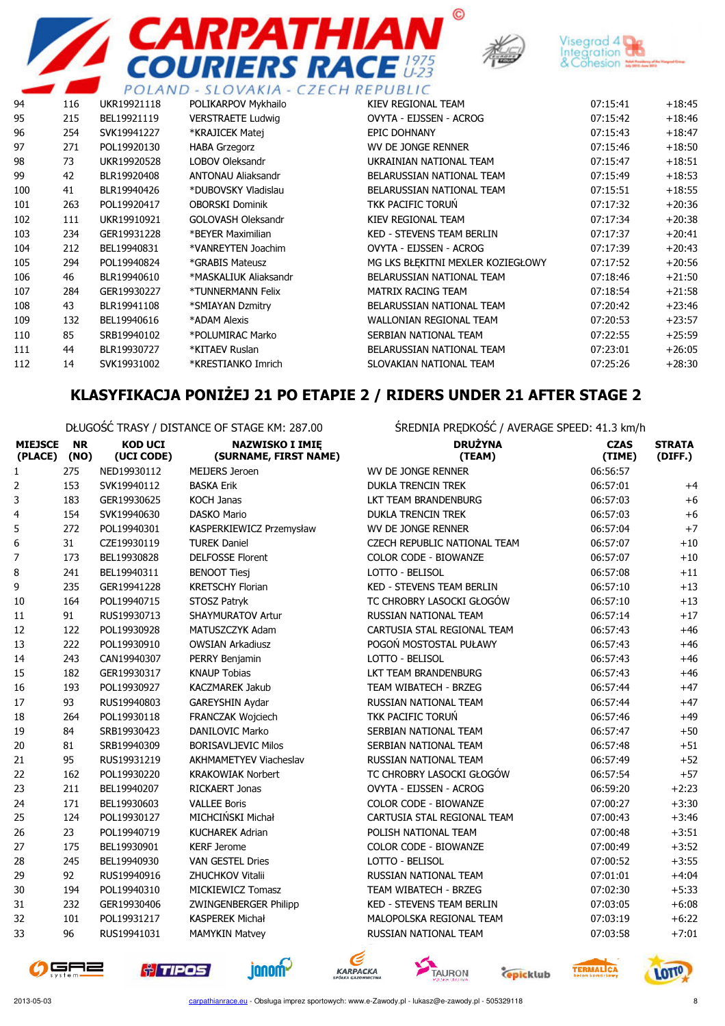



 $\odot$ 



|     |     |             | PULAND - SLUVANIA - CZECH REPUBLIC |                                   |          |          |
|-----|-----|-------------|------------------------------------|-----------------------------------|----------|----------|
| 94  | 116 | UKR19921118 | POLIKARPOV Mykhailo                | KIEV REGIONAL TEAM                | 07:15:41 | $+18:45$ |
| 95  | 215 | BEL19921119 | <b>VERSTRAETE Ludwig</b>           | OVYTA - EIJSSEN - ACROG           | 07:15:42 | $+18:46$ |
| 96  | 254 | SVK19941227 | *KRAJICEK Matej                    | <b>EPIC DOHNANY</b>               | 07:15:43 | $+18:47$ |
| 97  | 271 | POL19920130 | <b>HABA Grzegorz</b>               | WV DE JONGE RENNER                | 07:15:46 | $+18:50$ |
| 98  | 73  | UKR19920528 | <b>LOBOV Oleksandr</b>             | UKRAINIAN NATIONAL TEAM           | 07:15:47 | $+18:51$ |
| 99  | 42  | BLR19920408 | <b>ANTONAU Aliaksandr</b>          | BELARUSSIAN NATIONAL TEAM         | 07:15:49 | $+18:53$ |
| 100 | 41  | BLR19940426 | *DUBOVSKY Vladislau                | BELARUSSIAN NATIONAL TEAM         | 07:15:51 | $+18:55$ |
| 101 | 263 | POL19920417 | <b>OBORSKI Dominik</b>             | TKK PACIFIC TORUN                 | 07:17:32 | $+20:36$ |
| 102 | 111 | UKR19910921 | GOLOVASH Oleksandr                 | KIEV REGIONAL TEAM                | 07:17:34 | $+20:38$ |
| 103 | 234 | GER19931228 | *BEYER Maximilian                  | <b>KED - STEVENS TEAM BERLIN</b>  | 07:17:37 | $+20:41$ |
| 104 | 212 | BEL19940831 | *VANREYTEN Joachim                 | OVYTA - EIJSSEN - ACROG           | 07:17:39 | $+20:43$ |
| 105 | 294 | POL19940824 | *GRABIS Mateusz                    | MG LKS BŁEKITNI MEXLER KOZIEGŁOWY | 07:17:52 | $+20:56$ |
| 106 | 46  | BLR19940610 | *MASKALIUK Aliaksandr              | BELARUSSIAN NATIONAL TEAM         | 07:18:46 | $+21:50$ |
| 107 | 284 | GER19930227 | *TUNNERMANN Felix                  | <b>MATRIX RACING TEAM</b>         | 07:18:54 | $+21:58$ |
| 108 | 43  | BLR19941108 | *SMIAYAN Dzmitry                   | BELARUSSIAN NATIONAL TEAM         | 07:20:42 | $+23:46$ |
| 109 | 132 | BEL19940616 | *ADAM Alexis                       | <b>WALLONIAN REGIONAL TEAM</b>    | 07:20:53 | $+23:57$ |
| 110 | 85  | SRB19940102 | *POLUMIRAC Marko                   | SERBIAN NATIONAL TEAM             | 07:22:55 | $+25:59$ |
| 111 | 44  | BLR19930727 | *KITAEV Ruslan                     | BELARUSSIAN NATIONAL TEAM         | 07:23:01 | $+26:05$ |
| 112 | 14  | SVK19931002 | *KRESTIANKO Imrich                 | SLOVAKIAN NATIONAL TEAM           | 07:25:26 | $+28:30$ |
|     |     |             |                                    |                                   |          |          |

## KLASYFIKACJA PONIŻEJ 21 PO ETAPIE 2 / RIDERS UNDER 21 AFTER STAGE 2

DŁUGOŚĆ TRASY / DISTANCE OF STAGE KM: 287.00 ŚREDNIA PRĘDKOŚĆ / AVERAGE SPEED: 41.3 km/h

| <b>MIEJSCE</b><br>(PLACE) | <b>NR</b><br>(NO) | <b>KOD UCI</b><br>(UCI CODE) | <b>NAZWISKO I IMIE</b><br>(SURNAME, FIRST NAME) | <b>DRUŻYNA</b><br>(TEAM)            | <b>CZAS</b><br>(TIME) | <b>STRATA</b><br>(DIFF.) |
|---------------------------|-------------------|------------------------------|-------------------------------------------------|-------------------------------------|-----------------------|--------------------------|
| 1                         | 275               | NED19930112                  | <b>MEIJERS Jeroen</b>                           | WV DE JONGE RENNER                  | 06:56:57              |                          |
| $\overline{2}$            | 153               | SVK19940112                  | <b>BASKA Erik</b>                               | <b>DUKLA TRENCIN TREK</b>           | 06:57:01              | $+4$                     |
| 3                         | 183               | GER19930625                  | <b>KOCH Janas</b>                               | LKT TEAM BRANDENBURG                | 06:57:03              | $+6$                     |
| 4                         | 154               | SVK19940630                  | <b>DASKO Mario</b>                              | <b>DUKLA TRENCIN TREK</b>           | 06:57:03              | $+6$                     |
| 5                         | 272               | POL19940301                  | KASPERKIEWICZ Przemysław                        | WV DE JONGE RENNER                  | 06:57:04              | $+7$                     |
| 6                         | 31                | CZE19930119                  | <b>TUREK Daniel</b>                             | <b>CZECH REPUBLIC NATIONAL TEAM</b> | 06:57:07              | $+10$                    |
| 7                         | 173               | BEL19930828                  | <b>DELFOSSE Florent</b>                         | <b>COLOR CODE - BIOWANZE</b>        | 06:57:07              | $+10$                    |
| 8                         | 241               | BEL19940311                  | <b>BENOOT Tiesj</b>                             | LOTTO - BELISOL                     | 06:57:08              | $+11$                    |
| 9                         | 235               | GER19941228                  | <b>KRETSCHY Florian</b>                         | <b>KED - STEVENS TEAM BERLIN</b>    | 06:57:10              | $+13$                    |
| 10                        | 164               | POL19940715                  | STOSZ Patryk                                    | TC CHROBRY LASOCKI GŁOGÓW           | 06:57:10              | $+13$                    |
| 11                        | 91                | RUS19930713                  | <b>SHAYMURATOV Artur</b>                        | <b>RUSSIAN NATIONAL TEAM</b>        | 06:57:14              | $+17$                    |
| 12                        | 122               | POL19930928                  | MATUSZCZYK Adam                                 | CARTUSIA STAL REGIONAL TEAM         | 06:57:43              | $+46$                    |
| 13                        | 222               | POL19930910                  | <b>OWSIAN Arkadiusz</b>                         | POGOŃ MOSTOSTAL PUŁAWY              | 06:57:43              | $+46$                    |
| 14                        | 243               | CAN19940307                  | PERRY Benjamin                                  | LOTTO - BELISOL                     | 06:57:43              | $+46$                    |
| 15                        | 182               | GER19930317                  | <b>KNAUP Tobias</b>                             | LKT TEAM BRANDENBURG                | 06:57:43              | $+46$                    |
| 16                        | 193               | POL19930927                  | <b>KACZMAREK Jakub</b>                          | <b>TEAM WIBATECH - BRZEG</b>        | 06:57:44              | $+47$                    |
| 17                        | 93                | RUS19940803                  | GAREYSHIN Aydar                                 | <b>RUSSIAN NATIONAL TEAM</b>        | 06:57:44              | $+47$                    |
| 18                        | 264               | POL19930118                  | FRANCZAK Wojciech                               | TKK PACIFIC TORUŃ                   | 06:57:46              | $+49$                    |
| 19                        | 84                | SRB19930423                  | <b>DANILOVIC Marko</b>                          | SERBIAN NATIONAL TEAM               | 06:57:47              | $+50$                    |
| 20                        | 81                | SRB19940309                  | <b>BORISAVLJEVIC Milos</b>                      | SERBIAN NATIONAL TEAM               | 06:57:48              | $+51$                    |
| 21                        | 95                | RUS19931219                  | <b>AKHMAMETYEV Viacheslav</b>                   | <b>RUSSIAN NATIONAL TEAM</b>        | 06:57:49              | $+52$                    |
| 22                        | 162               | POL19930220                  | <b>KRAKOWIAK Norbert</b>                        | TC CHROBRY LASOCKI GŁOGÓW           | 06:57:54              | $+57$                    |
| 23                        | 211               | BEL19940207                  | RICKAERT Jonas                                  | OVYTA - EIJSSEN - ACROG             | 06:59:20              | $+2:23$                  |
| 24                        | 171               | BEL19930603                  | <b>VALLEE Boris</b>                             | COLOR CODE - BIOWANZE               | 07:00:27              | $+3:30$                  |
| 25                        | 124               | POL19930127                  | MICHCIŃSKI Michał                               | CARTUSIA STAL REGIONAL TEAM         | 07:00:43              | $+3:46$                  |
| 26                        | 23                | POL19940719                  | <b>KUCHAREK Adrian</b>                          | POLISH NATIONAL TEAM                | 07:00:48              | $+3:51$                  |
| 27                        | 175               | BEL19930901                  | <b>KERF Jerome</b>                              | COLOR CODE - BIOWANZE               | 07:00:49              | $+3:52$                  |
| 28                        | 245               | BEL19940930                  | <b>VAN GESTEL Dries</b>                         | LOTTO - BELISOL                     | 07:00:52              | $+3:55$                  |
| 29                        | 92                | RUS19940916                  | ZHUCHKOV Vitalii                                | RUSSIAN NATIONAL TEAM               | 07:01:01              | $+4:04$                  |
| 30                        | 194               | POL19940310                  | MICKIEWICZ Tomasz                               | TEAM WIBATECH - BRZEG               | 07:02:30              | $+5:33$                  |
| 31                        | 232               | GER19930406                  | <b>ZWINGENBERGER Philipp</b>                    | <b>KED - STEVENS TEAM BERLIN</b>    | 07:03:05              | $+6:08$                  |
| 32                        | 101               | POL19931217                  | <b>KASPEREK Michał</b>                          | MALOPOLSKA REGIONAL TEAM            | 07:03:19              | $+6:22$                  |
| 33                        | 96                | RUS19941031                  | <b>MAMYKIN Matvey</b>                           | <b>RUSSIAN NATIONAL TEAM</b>        | 07:03:58              | $+7:01$                  |











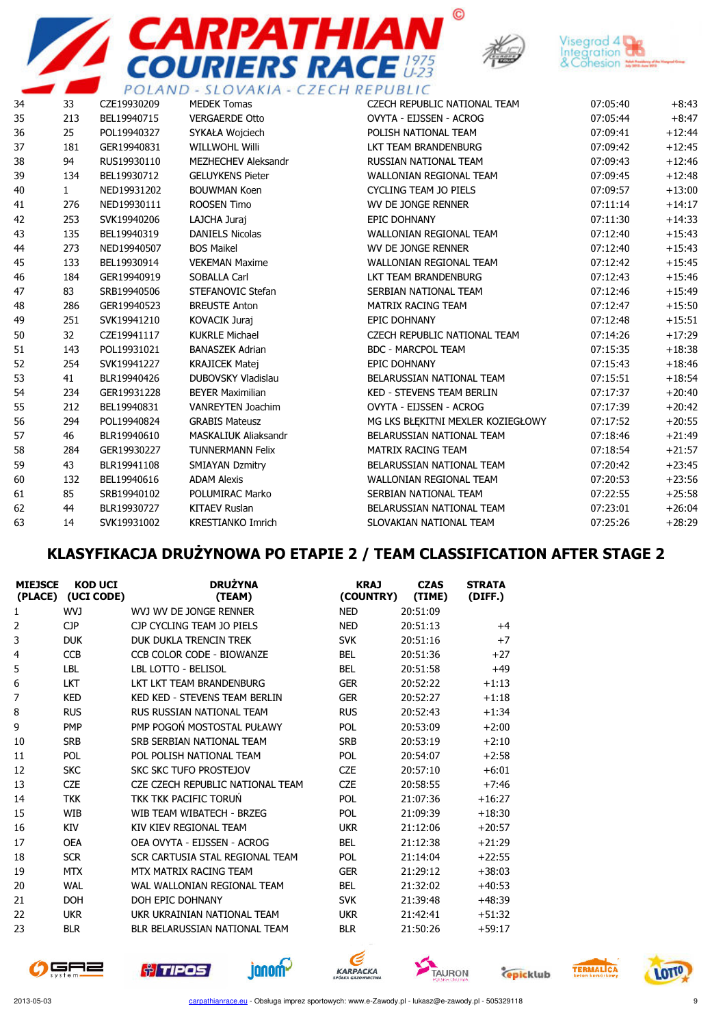



 $\odot$ 



|    |              |             | PULAND - SLUVANIA - CZECH REPUBLIC |                                   |          |          |
|----|--------------|-------------|------------------------------------|-----------------------------------|----------|----------|
| 34 | 33           | CZE19930209 | <b>MEDEK Tomas</b>                 | CZECH REPUBLIC NATIONAL TEAM      | 07:05:40 | $+8:43$  |
| 35 | 213          | BEL19940715 | <b>VERGAERDE Otto</b>              | OVYTA - EIJSSEN - ACROG           | 07:05:44 | $+8:47$  |
| 36 | 25           | POL19940327 | SYKAŁA Wojciech                    | POLISH NATIONAL TEAM              | 07:09:41 | $+12:44$ |
| 37 | 181          | GER19940831 | <b>WILLWOHL Willi</b>              | LKT TEAM BRANDENBURG              | 07:09:42 | $+12:45$ |
| 38 | 94           | RUS19930110 | <b>MEZHECHEV Aleksandr</b>         | RUSSIAN NATIONAL TEAM             | 07:09:43 | $+12:46$ |
| 39 | 134          | BEL19930712 | <b>GELUYKENS Pieter</b>            | <b>WALLONIAN REGIONAL TEAM</b>    | 07:09:45 | $+12:48$ |
| 40 | $\mathbf{1}$ | NED19931202 | <b>BOUWMAN Koen</b>                | <b>CYCLING TEAM JO PIELS</b>      | 07:09:57 | $+13:00$ |
| 41 | 276          | NED19930111 | ROOSEN Timo                        | WV DE JONGE RENNER                | 07:11:14 | $+14:17$ |
| 42 | 253          | SVK19940206 | LAJCHA Juraj                       | <b>EPIC DOHNANY</b>               | 07:11:30 | $+14:33$ |
| 43 | 135          | BEL19940319 | <b>DANIELS Nicolas</b>             | WALLONIAN REGIONAL TEAM           | 07:12:40 | $+15:43$ |
| 44 | 273          | NED19940507 | <b>BOS Maikel</b>                  | WV DE JONGE RENNER                | 07:12:40 | $+15:43$ |
| 45 | 133          | BEL19930914 | <b>VEKEMAN Maxime</b>              | <b>WALLONIAN REGIONAL TEAM</b>    | 07:12:42 | $+15:45$ |
| 46 | 184          | GER19940919 | SOBALLA Carl                       | LKT TEAM BRANDENBURG              | 07:12:43 | $+15:46$ |
| 47 | 83           | SRB19940506 | STEFANOVIC Stefan                  | SERBIAN NATIONAL TEAM             | 07:12:46 | $+15:49$ |
| 48 | 286          | GER19940523 | <b>BREUSTE Anton</b>               | <b>MATRIX RACING TEAM</b>         | 07:12:47 | $+15:50$ |
| 49 | 251          | SVK19941210 | <b>KOVACIK Juraj</b>               | <b>EPIC DOHNANY</b>               | 07:12:48 | $+15:51$ |
| 50 | 32           | CZE19941117 | <b>KUKRLE Michael</b>              | CZECH REPUBLIC NATIONAL TEAM      | 07:14:26 | $+17:29$ |
| 51 | 143          | POL19931021 | <b>BANASZEK Adrian</b>             | <b>BDC - MARCPOL TEAM</b>         | 07:15:35 | $+18:38$ |
| 52 | 254          | SVK19941227 | <b>KRAJICEK Matej</b>              | <b>EPIC DOHNANY</b>               | 07:15:43 | $+18:46$ |
| 53 | 41           | BLR19940426 | <b>DUBOVSKY Vladislau</b>          | BELARUSSIAN NATIONAL TEAM         | 07:15:51 | $+18:54$ |
| 54 | 234          | GER19931228 | <b>BEYER Maximilian</b>            | <b>KED - STEVENS TEAM BERLIN</b>  | 07:17:37 | $+20:40$ |
| 55 | 212          | BEL19940831 | <b>VANREYTEN Joachim</b>           | OVYTA - EIJSSEN - ACROG           | 07:17:39 | $+20:42$ |
| 56 | 294          | POL19940824 | <b>GRABIS Mateusz</b>              | MG LKS BŁEKITNI MEXLER KOZIEGŁOWY | 07:17:52 | $+20:55$ |
| 57 | 46           | BLR19940610 | <b>MASKALIUK Aliaksandr</b>        | BELARUSSIAN NATIONAL TEAM         | 07:18:46 | $+21:49$ |
| 58 | 284          | GER19930227 | <b>TUNNERMANN Felix</b>            | MATRIX RACING TEAM                | 07:18:54 | $+21:57$ |
| 59 | 43           | BLR19941108 | <b>SMIAYAN Dzmitry</b>             | BELARUSSIAN NATIONAL TEAM         | 07:20:42 | $+23:45$ |
| 60 | 132          | BEL19940616 | <b>ADAM Alexis</b>                 | <b>WALLONIAN REGIONAL TEAM</b>    | 07:20:53 | $+23:56$ |
| 61 | 85           | SRB19940102 | POLUMIRAC Marko                    | SERBIAN NATIONAL TEAM             | 07:22:55 | $+25:58$ |
| 62 | 44           | BLR19930727 | <b>KITAEV Ruslan</b>               | BELARUSSIAN NATIONAL TEAM         | 07:23:01 | $+26:04$ |
| 63 | 14           | SVK19931002 | <b>KRESTIANKO Imrich</b>           | SLOVAKIAN NATIONAL TEAM           | 07:25:26 | $+28:29$ |

## KLASYFIKACJA DRUŻYNOWA PO ETAPIE 2 / TEAM CLASSIFICATION AFTER STAGE 2

| <b>MIEJSCE</b><br>(PLACE) | <b>KOD UCI</b><br>(UCI CODE) | <b>DRUŻYNA</b><br>(TEAM)             | <b>KRAJ</b><br>(COUNTRY) | <b>CZAS</b><br>(TIME) | <b>STRATA</b><br>(DIFF.) |
|---------------------------|------------------------------|--------------------------------------|--------------------------|-----------------------|--------------------------|
| 1                         | WVJ                          | WVJ WV DE JONGE RENNER               | <b>NED</b>               | 20:51:09              |                          |
| 2                         | <b>CJP</b>                   | CJP CYCLING TEAM JO PIELS            | <b>NED</b>               | 20:51:13              | $+4$                     |
| 3                         | <b>DUK</b>                   | DUK DUKLA TRENCIN TREK               | <b>SVK</b>               | 20:51:16              | $+7$                     |
| 4                         | <b>CCB</b>                   | CCB COLOR CODE - BIOWANZE            | <b>BEL</b>               | 20:51:36              | $+27$                    |
| 5                         | <b>LBL</b>                   | LBL LOTTO - BELISOL                  | <b>BEL</b>               | 20:51:58              | $+49$                    |
| 6                         | <b>LKT</b>                   | <b>IKT IKT TFAM BRANDENBURG</b>      | <b>GER</b>               | 20:52:22              | $+1:13$                  |
| 7                         | <b>KED</b>                   | <b>KED KED - STEVENS TEAM BERLIN</b> | <b>GER</b>               | 20:52:27              | $+1:18$                  |
| 8                         | <b>RUS</b>                   | RUS RUSSIAN NATIONAL TEAM            | <b>RUS</b>               | 20:52:43              | $+1:34$                  |
| 9                         | <b>PMP</b>                   | PMP POGOŃ MOSTOSTAL PUŁAWY           | <b>POL</b>               | 20:53:09              | $+2:00$                  |
| 10                        | <b>SRB</b>                   | SRB SERBIAN NATIONAL TEAM            | <b>SRB</b>               | 20:53:19              | $+2:10$                  |
| 11                        | POL                          | POL POLISH NATIONAL TEAM             | <b>POL</b>               | 20:54:07              | $+2:58$                  |
| 12                        | <b>SKC</b>                   | <b>SKC SKC TUFO PROSTEJOV</b>        | <b>CZE</b>               | 20:57:10              | $+6:01$                  |
| 13                        | <b>CZE</b>                   | CZE CZECH REPUBLIC NATIONAL TEAM     | <b>CZE</b>               | 20:58:55              | $+7:46$                  |
| 14                        | <b>TKK</b>                   | TKK TKK PACIFIC TORUŃ                | POL                      | 21:07:36              | $+16:27$                 |
| 15                        | <b>WIB</b>                   | WIB TEAM WIBATECH - BRZEG            | POL                      | 21:09:39              | $+18:30$                 |
| 16                        | <b>KIV</b>                   | KIV KIEV REGIONAL TEAM               | <b>UKR</b>               | 21:12:06              | $+20:57$                 |
| 17                        | <b>OEA</b>                   | OEA OVYTA - EIJSSEN - ACROG          | <b>BEL</b>               | 21:12:38              | $+21:29$                 |
| 18                        | <b>SCR</b>                   | SCR CARTUSIA STAL REGIONAL TEAM      | <b>POL</b>               | 21:14:04              | $+22:55$                 |
| 19                        | <b>MTX</b>                   | MTX MATRIX RACING TEAM               | <b>GER</b>               | 21:29:12              | $+38:03$                 |
| 20                        | WAL                          | WAL WALLONIAN REGIONAL TEAM          | <b>BEL</b>               | 21:32:02              | $+40:53$                 |
| 21                        | <b>DOH</b>                   | DOH EPIC DOHNANY                     | <b>SVK</b>               | 21:39:48              | $+48:39$                 |
| 22                        | <b>UKR</b>                   | UKR UKRAINIAN NATIONAL TEAM          | <b>UKR</b>               | 21:42:41              | $+51:32$                 |
| 23                        | <b>BLR</b>                   | BLR BELARUSSIAN NATIONAL TEAM        | <b>BLR</b>               | 21:50:26              | $+59:17$                 |

janom-











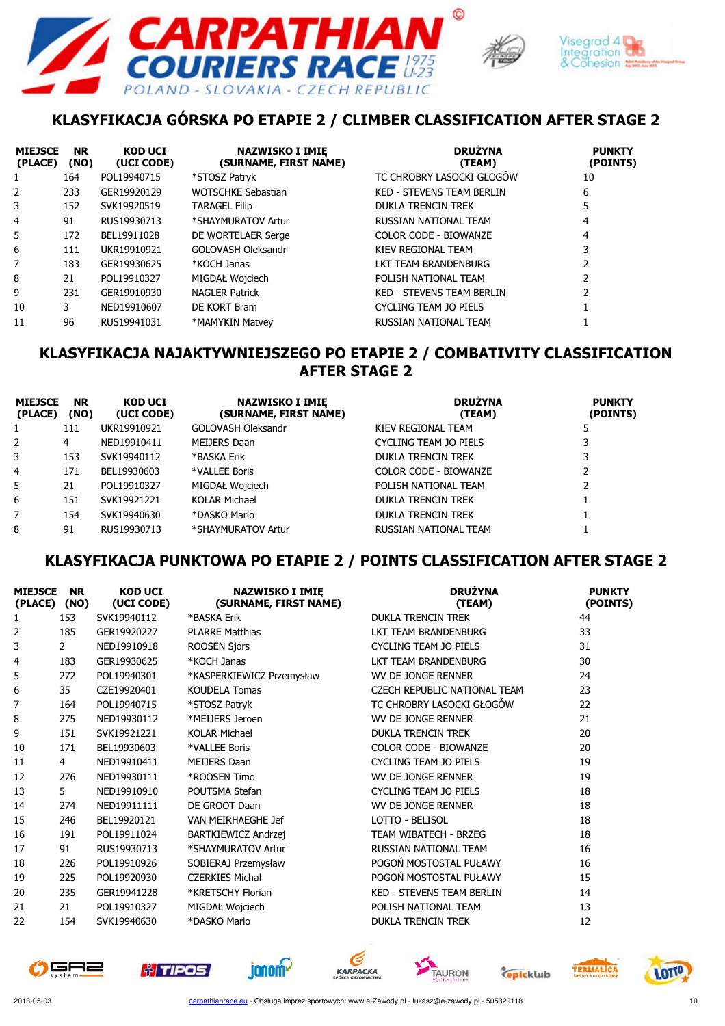





# KLASYFIKACJA GÓRSKA PO ETAPIE 2 / CLIMBER CLASSIFICATION AFTER STAGE 2

| <b>MIEJSCE</b><br>(PLACE) | <b>NR</b><br>(NO) | <b>KOD UCI</b><br>(UCI CODE) | <b>NAZWISKO I IMIE</b><br>(SURNAME, FIRST NAME) | <b>DRUŻYNA</b><br>(TEAM)         | <b>PUNKTY</b><br>(POINTS) |
|---------------------------|-------------------|------------------------------|-------------------------------------------------|----------------------------------|---------------------------|
|                           | 164               | POL19940715                  | *STOSZ Patryk                                   | TC CHROBRY LASOCKI GŁOGÓW        | 10                        |
| 2                         | 233               | GER19920129                  | <b>WOTSCHKE Sebastian</b>                       | <b>KED - STEVENS TEAM BERLIN</b> | 6                         |
| 3                         | 152               | SVK19920519                  | <b>TARAGEL Filip</b>                            | <b>DUKLA TRENCIN TREK</b>        | 5                         |
| 4                         | 91                | RUS19930713                  | *SHAYMURATOV Artur                              | RUSSIAN NATIONAL TEAM            | 4                         |
| 5.                        | 172               | BEL19911028                  | DE WORTELAER Serge                              | <b>COLOR CODE - BIOWANZE</b>     | 4                         |
| 6                         | 111               | UKR19910921                  | GOLOVASH Oleksandr                              | KIEV REGIONAL TEAM               | 3                         |
| 7                         | 183               | GER19930625                  | *KOCH Janas                                     | LKT TEAM BRANDENBURG             |                           |
| 8                         | 21                | POL19910327                  | MIGDAŁ Wojciech                                 | POLISH NATIONAL TEAM             |                           |
| 9                         | 231               | GER19910930                  | <b>NAGLER Patrick</b>                           | <b>KED - STEVENS TEAM BERLIN</b> |                           |
| 10                        | 3                 | NED19910607                  | DE KORT Bram                                    | CYCLING TEAM JO PIELS            |                           |
| 11                        | 96                | RUS19941031                  | *MAMYKIN Matvev                                 | RUSSIAN NATIONAL TEAM            |                           |

#### KLASYFIKACJA NAJAKTYWNIEJSZEGO PO ETAPIE 2 / COMBATIVITY CLASSIFICATION AFTER STAGE 2

| <b>MIEJSCE</b><br>(PLACE) | <b>NR</b><br>(NO) | <b>KOD UCI</b><br>(UCI CODE) | <b>NAZWISKO I IMIE</b><br>(SURNAME, FIRST NAME) | <b>DRUŻYNA</b><br>(TEAM)  | <b>PUNKTY</b><br>(POINTS) |
|---------------------------|-------------------|------------------------------|-------------------------------------------------|---------------------------|---------------------------|
|                           | 111               | UKR19910921                  | GOLOVASH Oleksandr                              | KIEV REGIONAL TEAM        |                           |
| 2                         | 4                 | NED19910411                  | MEIJERS Daan                                    | CYCLING TEAM JO PIELS     |                           |
| 3                         | 153               | SVK19940112                  | *BASKA Erik                                     | <b>DUKLA TRENCIN TREK</b> |                           |
| $\overline{4}$            | 171               | BEL19930603                  | *VALLEE Boris                                   | COLOR CODE - BIOWANZE     |                           |
| 5                         | 21                | POL19910327                  | MIGDAŁ Wojciech                                 | POLISH NATIONAL TEAM      |                           |
| 6                         | 151               | SVK19921221                  | <b>KOLAR Michael</b>                            | <b>DUKLA TRENCIN TREK</b> |                           |
| 7                         | 154               | SVK19940630                  | *DASKO Mario                                    | <b>DUKLA TRENCIN TREK</b> |                           |
| 8                         | 91                | RUS19930713                  | *SHAYMURATOV Artur                              | RUSSIAN NATIONAL TEAM     |                           |

#### KLASYFIKACJA PUNKTOWA PO ETAPIE 2 / POINTS CLASSIFICATION AFTER STAGE 2

| <b>MIEJSCE</b><br>(PLACE) | <b>NR</b><br>(NO) | <b>KOD UCI</b><br>(UCI CODE) | <b>NAZWISKO I IMIĘ</b><br>(SURNAME, FIRST NAME) | <b>DRUŻYNA</b><br>(TEAM)         | <b>PUNKTY</b><br>(POINTS) |
|---------------------------|-------------------|------------------------------|-------------------------------------------------|----------------------------------|---------------------------|
| 1                         | 153               | SVK19940112                  | *BASKA Erik                                     | <b>DUKLA TRENCIN TREK</b>        | 44                        |
| 2                         | 185               | GER19920227                  | <b>PLARRE Matthias</b>                          | LKT TEAM BRANDENBURG             | 33                        |
| 3                         | $\mathbf{2}$      | NED19910918                  | <b>ROOSEN Sjors</b>                             | <b>CYCLING TEAM JO PIELS</b>     | 31                        |
| 4                         | 183               | GER19930625                  | *KOCH Janas                                     | LKT TEAM BRANDENBURG             | 30                        |
| 5                         | 272               | POL19940301                  | *KASPERKIEWICZ Przemysław                       | WV DE JONGE RENNER               | 24                        |
| 6                         | 35                | CZE19920401                  | <b>KOUDELA Tomas</b>                            | CZECH REPUBLIC NATIONAL TEAM     | 23                        |
| 7                         | 164               | POL19940715                  | *STOSZ Patryk                                   | TC CHROBRY LASOCKI GŁOGÓW        | 22                        |
| 8                         | 275               | NED19930112                  | *MEIJERS Jeroen                                 | <b>WV DE JONGE RENNER</b>        | 21                        |
| 9                         | 151               | SVK19921221                  | <b>KOLAR Michael</b>                            | <b>DUKLA TRENCIN TREK</b>        | 20                        |
| 10                        | 171               | BEL19930603                  | *VALLEE Boris                                   | <b>COLOR CODE - BIOWANZE</b>     | 20                        |
| 11                        | $\overline{4}$    | NED19910411                  | <b>MEIJERS Daan</b>                             | <b>CYCLING TEAM JO PIELS</b>     | 19                        |
| 12                        | 276               | NED19930111                  | *ROOSEN Timo                                    | WV DE JONGE RENNER               | 19                        |
| 13                        | 5                 | NED19910910                  | POUTSMA Stefan                                  | <b>CYCLING TEAM JO PIELS</b>     | 18                        |
| 14                        | 274               | NED19911111                  | DE GROOT Daan                                   | WV DE JONGE RENNER               | 18                        |
| 15                        | 246               | BEL19920121                  | VAN MEIRHAEGHE Jef                              | LOTTO - BELISOL                  | 18                        |
| 16                        | 191               | POL19911024                  | BARTKIEWICZ Andrzej                             | TEAM WIBATECH - BRZEG            | 18                        |
| 17                        | 91                | RUS19930713                  | *SHAYMURATOV Artur                              | RUSSIAN NATIONAL TEAM            | 16                        |
| 18                        | 226               | POL19910926                  | SOBIERAJ Przemysław                             | POGOŃ MOSTOSTAL PUŁAWY           | 16                        |
| 19                        | 225               | POL19920930                  | <b>CZERKIES Michał</b>                          | POGOŃ MOSTOSTAL PUŁAWY           | 15                        |
| 20                        | 235               | GER19941228                  | *KRETSCHY Florian                               | <b>KED - STEVENS TEAM BERLIN</b> | 14                        |
| 21                        | 21                | POL19910327                  | MIGDAŁ Wojciech                                 | POLISH NATIONAL TEAM             | 13                        |
| 22                        | 154               | SVK19940630                  | *DASKO Mario                                    | <b>DUKLA TRENCIN TREK</b>        | 12                        |













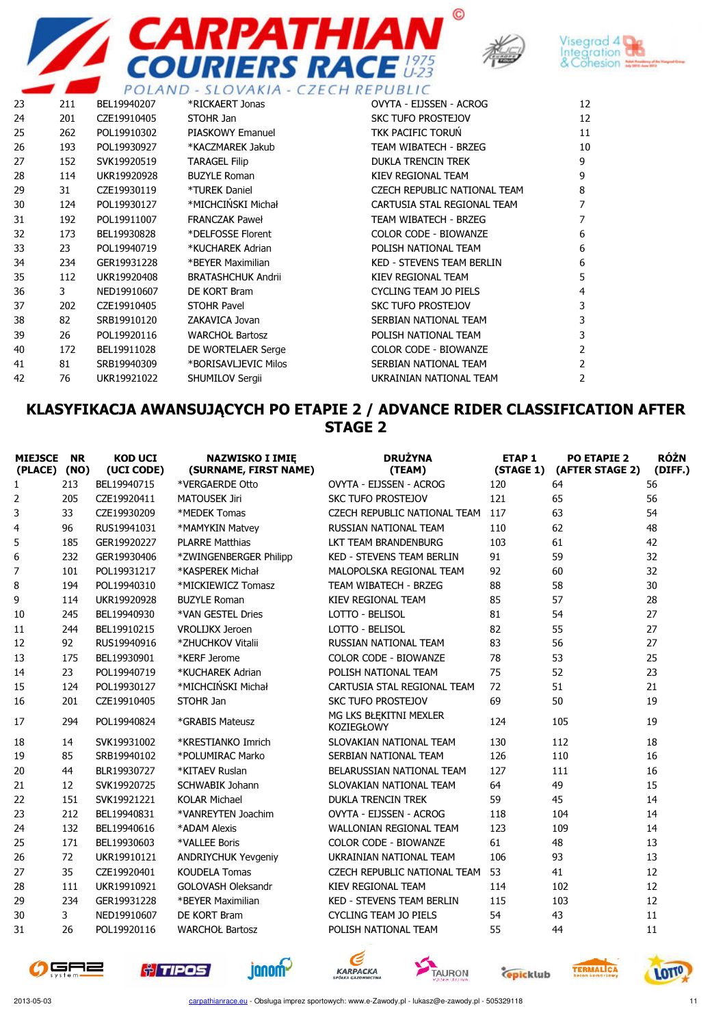





|    |     | POLAND      |                           | SLOVAKIA - CZECH REPUBLIC        |                |
|----|-----|-------------|---------------------------|----------------------------------|----------------|
| 23 | 211 | BEL19940207 | *RICKAERT Jonas           | OVYTA - EIJSSEN - ACROG          | 12             |
| 24 | 201 | CZE19910405 | STOHR Jan                 | <b>SKC TUFO PROSTEJOV</b>        | 12             |
| 25 | 262 | POL19910302 | <b>PIASKOWY Emanuel</b>   | TKK PACIFIC TORUŃ                | 11             |
| 26 | 193 | POL19930927 | *KACZMAREK Jakub          | TEAM WIBATECH - BRZEG            | 10             |
| 27 | 152 | SVK19920519 | <b>TARAGEL Filip</b>      | <b>DUKLA TRENCIN TREK</b>        | 9              |
| 28 | 114 | UKR19920928 | <b>BUZYLE Roman</b>       | KIEV REGIONAL TEAM               | 9              |
| 29 | 31  | CZE19930119 | *TUREK Daniel             | CZECH REPUBLIC NATIONAL TEAM     | 8              |
| 30 | 124 | POL19930127 | *MICHCIŃSKI Michał        | CARTUSIA STAL REGIONAL TEAM      | 7              |
| 31 | 192 | POL19911007 | <b>FRANCZAK Paweł</b>     | TEAM WIBATECH - BRZEG            | 7              |
| 32 | 173 | BEL19930828 | *DELFOSSE Florent         | <b>COLOR CODE - BIOWANZE</b>     | 6              |
| 33 | 23  | POL19940719 | *KUCHAREK Adrian          | POLISH NATIONAL TEAM             | 6              |
| 34 | 234 | GER19931228 | *BEYER Maximilian         | <b>KED - STEVENS TEAM BERLIN</b> | 6              |
| 35 | 112 | UKR19920408 | <b>BRATASHCHUK Andrii</b> | KIEV REGIONAL TEAM               | 5              |
| 36 | 3   | NED19910607 | DE KORT Bram              | <b>CYCLING TEAM JO PIELS</b>     | 4              |
| 37 | 202 | CZE19910405 | <b>STOHR Pavel</b>        | <b>SKC TUFO PROSTEJOV</b>        | 3              |
| 38 | 82  | SRB19910120 | ZAKAVICA Jovan            | SERBIAN NATIONAL TEAM            | 3              |
| 39 | 26  | POL19920116 | <b>WARCHOŁ Bartosz</b>    | POLISH NATIONAL TEAM             | 3              |
| 40 | 172 | BEL19911028 | DE WORTELAER Serge        | <b>COLOR CODE - BIOWANZE</b>     | 2              |
| 41 | 81  | SRB19940309 | *BORISAVLJEVIC Milos      | SERBIAN NATIONAL TEAM            | 2              |
| 42 | 76  | UKR19921022 | SHUMILOV Sergii           | UKRAINIAN NATIONAL TEAM          | $\overline{2}$ |
|    |     |             |                           |                                  |                |

#### KLASYFIKACJA AWANSUJĄCYCH PO ETAPIE 2 / ADVANCE RIDER CLASSIFICATION AFTER STAGE 2

| <b>MIEJSCE</b><br>(PLACE) (NO) | <b>NR</b> | <b>KOD UCI</b><br>(UCI CODE) | <b>NAZWISKO I IMIĘ</b><br>(SURNAME, FIRST NAME) | <b>DRUŻYNA</b><br>(TEAM)                    | <b>ETAP1</b><br>(STAGE 1) | <b>PO ETAPIE 2</b><br>(AFTER STAGE 2) | <b>RÓŻN</b><br>(DIFF.) |
|--------------------------------|-----------|------------------------------|-------------------------------------------------|---------------------------------------------|---------------------------|---------------------------------------|------------------------|
| $\mathbf{1}$                   | 213       | BEL19940715                  | *VERGAERDE Otto                                 | OVYTA - EIJSSEN - ACROG                     | 120                       | 64                                    | 56                     |
| 2                              | 205       | CZE19920411                  | <b>MATOUSEK Jiri</b>                            | <b>SKC TUFO PROSTEJOV</b>                   | 121                       | 65                                    | 56                     |
| 3                              | 33        | CZE19930209                  | *MEDEK Tomas                                    | CZECH REPUBLIC NATIONAL TEAM                | 117                       | 63                                    | 54                     |
| 4                              | 96        | RUS19941031                  | *MAMYKIN Matvey                                 | RUSSIAN NATIONAL TEAM                       | 110                       | 62                                    | 48                     |
| 5                              | 185       | GER19920227                  | <b>PLARRE Matthias</b>                          | LKT TEAM BRANDENBURG                        | 103                       | 61                                    | 42                     |
| 6                              | 232       | GER19930406                  | *ZWINGENBERGER Philipp                          | <b>KED - STEVENS TEAM BERLIN</b>            | 91                        | 59                                    | 32                     |
| 7                              | 101       | POL19931217                  | *KASPEREK Michał                                | MALOPOLSKA REGIONAL TEAM                    | 92                        | 60                                    | 32                     |
| 8                              | 194       | POL19940310                  | *MICKIEWICZ Tomasz                              | TEAM WIBATECH - BRZEG                       | 88                        | 58                                    | 30                     |
| 9                              | 114       | UKR19920928                  | <b>BUZYLE Roman</b>                             | KIEV REGIONAL TEAM                          | 85                        | 57                                    | 28                     |
| 10                             | 245       | BEL19940930                  | *VAN GESTEL Dries                               | LOTTO - BELISOL                             | 81                        | 54                                    | 27                     |
| 11                             | 244       | BEL19910215                  | <b>VROLIJKX Jeroen</b>                          | LOTTO - BELISOL                             | 82                        | 55                                    | 27                     |
| 12                             | 92        | RUS19940916                  | *ZHUCHKOV Vitalii                               | RUSSIAN NATIONAL TEAM                       | 83                        | 56                                    | 27                     |
| 13                             | 175       | BEL19930901                  | *KERF Jerome                                    | <b>COLOR CODE - BIOWANZE</b>                | 78                        | 53                                    | 25                     |
| 14                             | 23        | POL19940719                  | *KUCHAREK Adrian                                | POLISH NATIONAL TEAM                        | 75                        | 52                                    | 23                     |
| 15                             | 124       | POL19930127                  | *MICHCIŃSKI Michał                              | CARTUSIA STAL REGIONAL TEAM                 | 72                        | 51                                    | 21                     |
| 16                             | 201       | CZE19910405                  | STOHR Jan                                       | <b>SKC TUFO PROSTEJOV</b>                   | 69                        | 50                                    | 19                     |
| 17                             | 294       | POL19940824                  | *GRABIS Mateusz                                 | MG LKS BŁĘKITNI MEXLER<br><b>KOZIEGŁOWY</b> | 124                       | 105                                   | 19                     |
| 18                             | 14        | SVK19931002                  | *KRESTIANKO Imrich                              | SLOVAKIAN NATIONAL TEAM                     | 130                       | 112                                   | 18                     |
| 19                             | 85        | SRB19940102                  | *POLUMIRAC Marko                                | SERBIAN NATIONAL TEAM                       | 126                       | 110                                   | 16                     |
| 20                             | 44        | BLR19930727                  | *KITAEV Ruslan                                  | BELARUSSIAN NATIONAL TEAM                   | 127                       | 111                                   | 16                     |
| 21                             | 12        | SVK19920725                  | <b>SCHWABIK Johann</b>                          | SLOVAKIAN NATIONAL TEAM                     | 64                        | 49                                    | 15                     |
| 22                             | 151       | SVK19921221                  | <b>KOLAR Michael</b>                            | <b>DUKLA TRENCIN TREK</b>                   | 59                        | 45                                    | 14                     |
| 23                             | 212       | BEL19940831                  | *VANREYTEN Joachim                              | OVYTA - EIJSSEN - ACROG                     | 118                       | 104                                   | 14                     |
| 24                             | 132       | BEL19940616                  | *ADAM Alexis                                    | <b>WALLONIAN REGIONAL TEAM</b>              | 123                       | 109                                   | 14                     |
| 25                             | 171       | BEL19930603                  | *VALLEE Boris                                   | <b>COLOR CODE - BIOWANZE</b>                | 61                        | 48                                    | 13                     |
| 26                             | 72        | UKR19910121                  | <b>ANDRIYCHUK Yevgeniy</b>                      | UKRAINIAN NATIONAL TEAM                     | 106                       | 93                                    | 13                     |
| 27                             | 35        | CZE19920401                  | <b>KOUDELA Tomas</b>                            | CZECH REPUBLIC NATIONAL TEAM                | 53                        | 41                                    | 12                     |
| 28                             | 111       | UKR19910921                  | <b>GOLOVASH Oleksandr</b>                       | KIEV REGIONAL TEAM                          | 114                       | 102                                   | 12                     |
| 29                             | 234       | GER19931228                  | *BEYER Maximilian                               | KED - STEVENS TEAM BERLIN                   | 115                       | 103                                   | 12                     |
| 30                             | 3         | NED19910607                  | DE KORT Bram                                    | <b>CYCLING TEAM JO PIELS</b>                | 54                        | 43                                    | 11                     |
| 31                             | 26        | POL19920116                  | <b>WARCHOŁ Bartosz</b>                          | POLISH NATIONAL TEAM                        | 55                        | 44                                    | 11                     |
|                                |           |                              |                                                 |                                             |                           |                                       |                        |















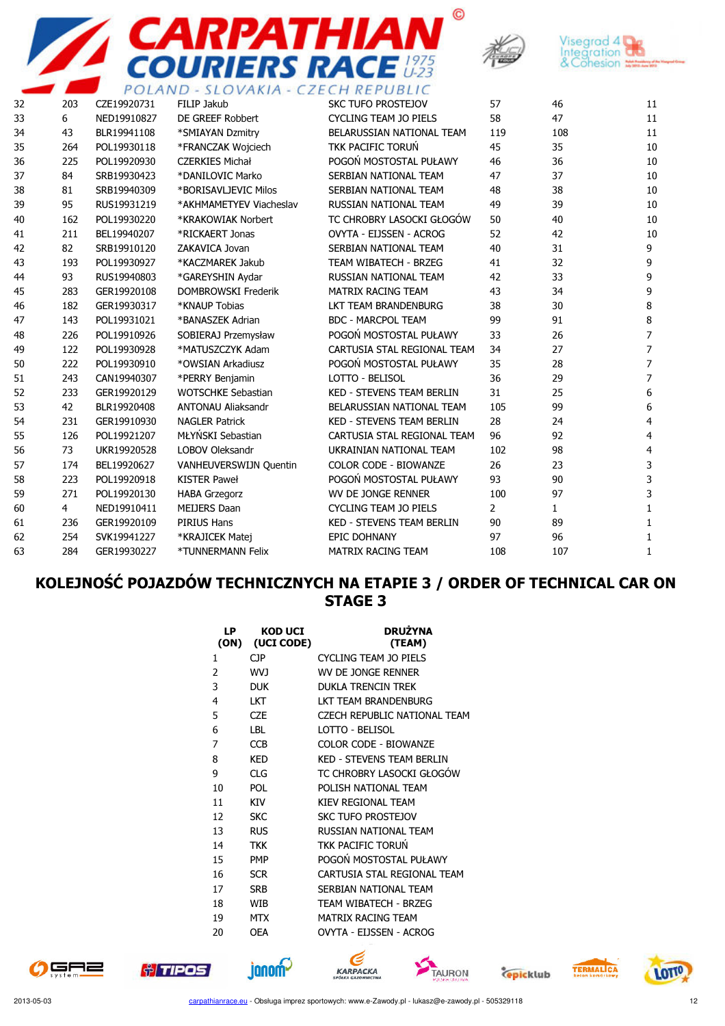





|    |     |             | POLAND - SLOVAKIA - CZECH REPUBLIC |                                  |                |              |                |
|----|-----|-------------|------------------------------------|----------------------------------|----------------|--------------|----------------|
| 32 | 203 | CZE19920731 | FILIP Jakub                        | <b>SKC TUFO PROSTEJOV</b>        | 57             | 46           | 11             |
| 33 | 6   | NED19910827 | DE GREEF Robbert                   | <b>CYCLING TEAM JO PIELS</b>     | 58             | 47           | 11             |
| 34 | 43  | BLR19941108 | *SMIAYAN Dzmitry                   | BELARUSSIAN NATIONAL TEAM        | 119            | 108          | 11             |
| 35 | 264 | POL19930118 | *FRANCZAK Wojciech                 | <b>TKK PACIFIC TORUŃ</b>         | 45             | 35           | 10             |
| 36 | 225 | POL19920930 | <b>CZERKIES Michał</b>             | POGOŃ MOSTOSTAL PUŁAWY           | 46             | 36           | 10             |
| 37 | 84  | SRB19930423 | *DANILOVIC Marko                   | SERBIAN NATIONAL TEAM            | 47             | 37           | 10             |
| 38 | 81  | SRB19940309 | *BORISAVLJEVIC Milos               | SERBIAN NATIONAL TEAM            | 48             | 38           | 10             |
| 39 | 95  | RUS19931219 | *AKHMAMETYEV Viacheslav            | RUSSIAN NATIONAL TEAM            | 49             | 39           | 10             |
| 40 | 162 | POL19930220 | *KRAKOWIAK Norbert                 | TC CHROBRY LASOCKI GŁOGÓW        | 50             | 40           | 10             |
| 41 | 211 | BEL19940207 | *RICKAERT Jonas                    | OVYTA - EIJSSEN - ACROG          | 52             | 42           | 10             |
| 42 | 82  | SRB19910120 | ZAKAVICA Jovan                     | SERBIAN NATIONAL TEAM            | 40             | 31           | 9              |
| 43 | 193 | POL19930927 | *KACZMAREK Jakub                   | <b>TEAM WIBATECH - BRZEG</b>     | 41             | 32           | 9              |
| 44 | 93  | RUS19940803 | *GAREYSHIN Aydar                   | RUSSIAN NATIONAL TEAM            | 42             | 33           | 9              |
| 45 | 283 | GER19920108 | <b>DOMBROWSKI Frederik</b>         | <b>MATRIX RACING TEAM</b>        | 43             | 34           | 9              |
| 46 | 182 | GER19930317 | *KNAUP Tobias                      | LKT TEAM BRANDENBURG             | 38             | 30           | 8              |
| 47 | 143 | POL19931021 | *BANASZEK Adrian                   | <b>BDC - MARCPOL TEAM</b>        | 99             | 91           | 8              |
| 48 | 226 | POL19910926 | SOBIERAJ Przemysław                | POGOŃ MOSTOSTAL PUŁAWY           | 33             | 26           | $\overline{7}$ |
| 49 | 122 | POL19930928 | *MATUSZCZYK Adam                   | CARTUSIA STAL REGIONAL TEAM      | 34             | 27           | $\overline{7}$ |
| 50 | 222 | POL19930910 | *OWSIAN Arkadiusz                  | POGOŃ MOSTOSTAL PUŁAWY           | 35             | 28           | 7              |
| 51 | 243 | CAN19940307 | *PERRY Benjamin                    | LOTTO - BELISOL                  | 36             | 29           | $\overline{7}$ |
| 52 | 233 | GER19920129 | <b>WOTSCHKE Sebastian</b>          | <b>KED - STEVENS TEAM BERLIN</b> | 31             | 25           | 6              |
| 53 | 42  | BLR19920408 | <b>ANTONAU Aliaksandr</b>          | BELARUSSIAN NATIONAL TEAM        | 105            | 99           | 6              |
| 54 | 231 | GER19910930 | <b>NAGLER Patrick</b>              | <b>KED - STEVENS TEAM BERLIN</b> | 28             | 24           | 4              |
| 55 | 126 | POL19921207 | MŁYŃSKI Sebastian                  | CARTUSIA STAL REGIONAL TEAM      | 96             | 92           | 4              |
| 56 | 73  | UKR19920528 | <b>LOBOV Oleksandr</b>             | UKRAINIAN NATIONAL TEAM          | 102            | 98           | $\overline{4}$ |
| 57 | 174 | BEL19920627 | VANHEUVERSWIJN Quentin             | <b>COLOR CODE - BIOWANZE</b>     | 26             | 23           | 3              |
| 58 | 223 | POL19920918 | <b>KISTER Paweł</b>                | POGOŃ MOSTOSTAL PUŁAWY           | 93             | 90           | 3              |
| 59 | 271 | POL19920130 | <b>HABA Grzegorz</b>               | WV DE JONGE RENNER               | 100            | 97           | 3              |
| 60 | 4   | NED19910411 | <b>MEIJERS Daan</b>                | <b>CYCLING TEAM JO PIELS</b>     | $\overline{2}$ | $\mathbf{1}$ | 1              |
| 61 | 236 | GER19920109 | <b>PIRIUS Hans</b>                 | <b>KED - STEVENS TEAM BERLIN</b> | 90             | 89           | 1              |
| 62 | 254 | SVK19941227 | *KRAJICEK Matej                    | <b>EPIC DOHNANY</b>              | 97             | 96           | 1              |
| 63 | 284 | GER19930227 | *TUNNERMANN Felix                  | MATRIX RACING TEAM               | 108            | 107          | 1              |

## KOLEJNOŚĆ POJAZDÓW TECHNICZNYCH NA ETAPIE 3 / ORDER OF TECHNICAL CAR ON STAGE 3

| LP<br>(ON) | <b>KOD UCI</b><br>(UCI CODE) | <b>DRUŽYNA</b><br>(TEAM)         |
|------------|------------------------------|----------------------------------|
| 1          | CJP                          | <b>CYCLING TEAM JO PIELS</b>     |
| 2          | <b>LVW</b>                   | WV DE JONGE RENNER               |
| 3          | <b>DUK</b>                   | DUKI A TRENCIN TREK              |
| 4          | I KT                         | I KT TFAM BRANDFNBURG            |
| 5          | C <sub>7</sub> F             | CZECH REPUBLIC NATIONAL TEAM     |
| 6          | I BL                         | LOTTO - BELISOL                  |
| 7          | <b>CCB</b>                   | COLOR CODE - BIOWANZE            |
| 8          | <b>KED</b>                   | <b>KFD - STEVENS TEAM BERLIN</b> |
| 9          | CLG                          | TC CHROBRY LASOCKI GŁOGÓW        |
| 10         | <b>POL</b>                   | POLISH NATIONAL TEAM             |
| 11         | <b>KTV</b>                   | KIFV RFGIONAL TFAM               |
| 12         | <b>SKC</b>                   | <b>SKC TUFO PROSTEJOV</b>        |
| 13         | <b>RUS</b>                   | RUSSIAN NATIONAL TFAM            |
| 14         | <b>TKK</b>                   | TKK PACIFIC TORUN                |
| 15         | <b>PMP</b>                   | POGOŃ MOSTOSTAL PUŁAWY           |
| 16         | <b>SCR</b>                   | CARTUSIA STAL REGIONAL TEAM      |
| 17         | <b>SRB</b>                   | SERBIAN NATIONAL TEAM            |
| 18         | <b>WIB</b>                   | TEAM WIBATECH - BRZEG            |
| 19         | <b>MTX</b>                   | <b>MATRIX RACING TEAM</b>        |
| 20         | OFA                          | OVYTA - EIJSSEN - ACROG          |







janom-





TERMALICA

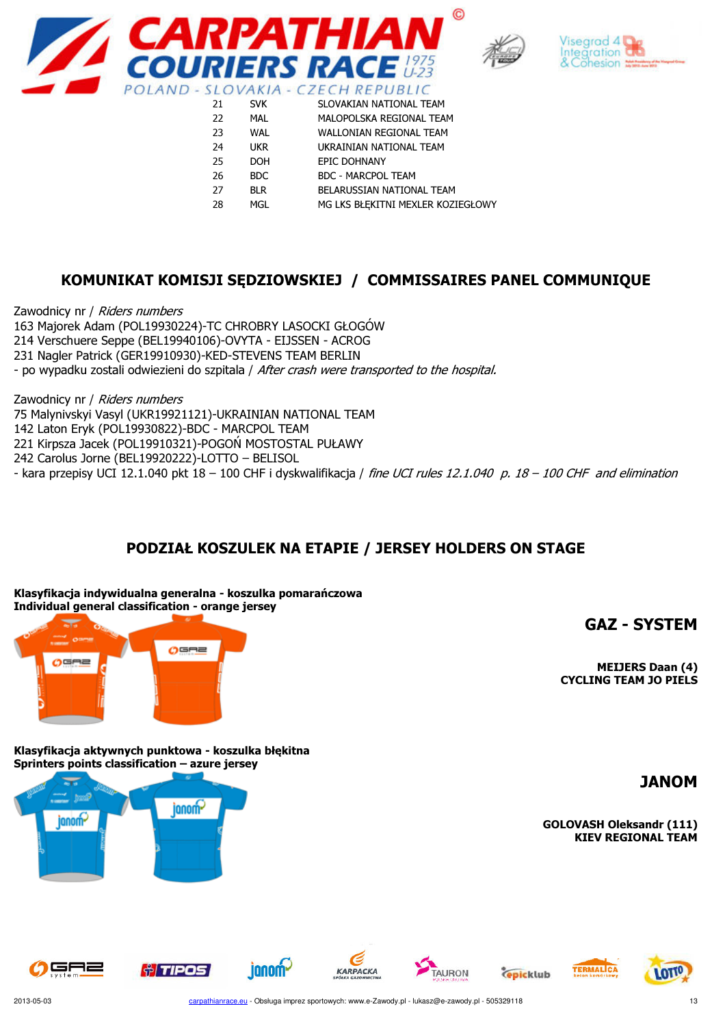





| 21 | <b>SVK</b> | SLOVAKIAN NATIONAL TEAM           |
|----|------------|-----------------------------------|
| 22 | MAL        | MALOPOLSKA REGIONAL TEAM          |
| 23 | <b>WAL</b> | <b>WALLONIAN REGIONAL TEAM</b>    |
| 24 | <b>UKR</b> | UKRAINIAN NATIONAL TEAM           |
| 25 | <b>DOH</b> | <b>EPIC DOHNANY</b>               |
| 26 | <b>BDC</b> | <b>BDC - MARCPOL TEAM</b>         |
| 27 | <b>BLR</b> | BELARUSSIAN NATIONAL TEAM         |
| 28 | MGL        | MG LKS BŁEKITNI MEXLER KOZIEGŁOWY |
|    |            |                                   |

#### KOMUNIKAT KOMISJI SĘDZIOWSKIEJ / COMMISSAIRES PANEL COMMUNIQUE

Zawodnicy nr / Riders numbers 163 Majorek Adam (POL19930224)-TC CHROBRY LASOCKI GŁOGÓW 214 Verschuere Seppe (BEL19940106)-OVYTA - EIJSSEN - ACROG 231 Nagler Patrick (GER19910930)-KED-STEVENS TEAM BERLIN - po wypadku zostali odwiezieni do szpitala / After crash were transported to the hospital.

Zawodnicy nr / Riders numbers 75 Malynivskyi Vasyl (UKR19921121)-UKRAINIAN NATIONAL TEAM 142 Laton Eryk (POL19930822)-BDC - MARCPOL TEAM 221 Kirpsza Jacek (POL19910321)-POGOŃ MOSTOSTAL PUŁAWY 242 Carolus Jorne (BEL19920222)-LOTTO – BELISOL - kara przepisy UCI 12.1.040 pkt 18 - 100 CHF i dyskwalifikacja / fine UCI rules 12.1.040 p. 18 - 100 CHF and elimination

## PODZIAŁ KOSZULEK NA ETAPIE / JERSEY HOLDERS ON STAGE